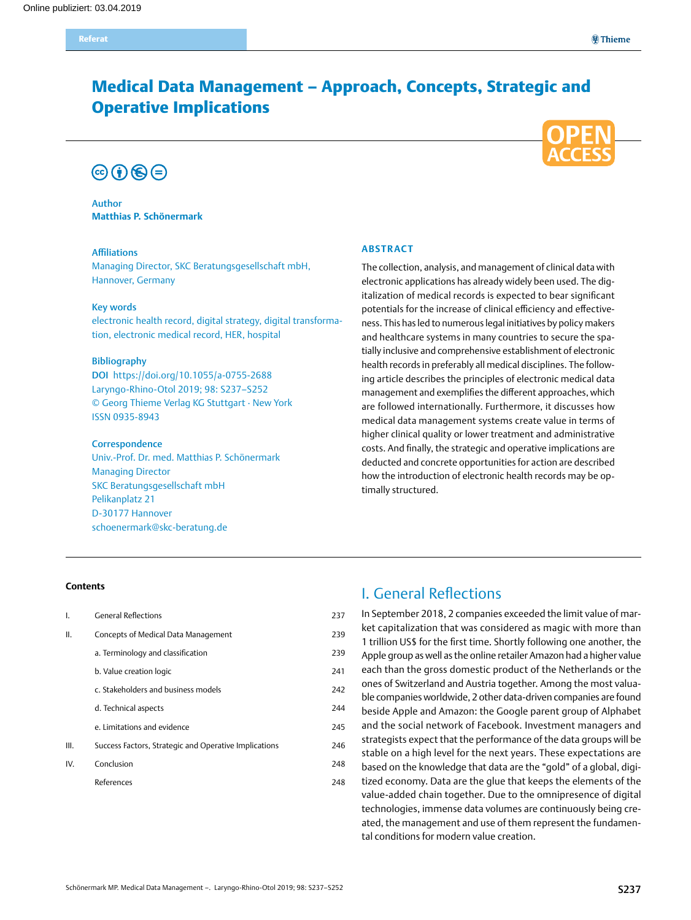# Medical Data Management – Approach, Concepts, Strategic and Operative Implications





## Author **Matthias P. Schönermark**

### Affiliations

Managing Director, SKC Beratungsgesellschaft mbH, Hannover, Germany

## Key words

electronic health record, digital strategy, digital transformation, electronic medical record, HER, hospital

#### Bibliography

DOI https://doi.org/10.1055/a-0755-2688 Laryngo-Rhino-Otol 2019; 98: S237–S252 © Georg Thieme Verlag KG Stuttgart · New York ISSN 0935-8943

#### **Correspondence**

Univ.-Prof. Dr. med. Matthias P. Schönermark Managing Director SKC Beratungsgesellschaft mbH Pelikanplatz 21 D-30177 Hannover [schoenermark@skc-beratung.de](mailto:schoenermark@skc-beratung.de)

## **Abstract**

The collection, analysis, and management of clinical data with electronic applications has already widely been used. The digitalization of medical records is expected to bear significant potentials for the increase of clinical efficiency and effectiveness. This has led to numerous legal initiatives by policy makers and healthcare systems in many countries to secure the spatially inclusive and comprehensive establishment of electronic health records in preferably all medical disciplines. The following article describes the principles of electronic medical data management and exemplifies the different approaches, which are followed internationally. Furthermore, it discusses how medical data management systems create value in terms of higher clinical quality or lower treatment and administrative costs. And finally, the strategic and operative implications are deducted and concrete opportunities for action are described how the introduction of electronic health records may be optimally structured.

### **Contents**

| Ι.   | <b>General Reflections</b>                            | 237 |
|------|-------------------------------------------------------|-----|
| Ш.   | Concepts of Medical Data Management                   | 239 |
|      | a. Terminology and classification                     | 239 |
|      | b. Value creation logic                               | 241 |
|      | c. Stakeholders and business models                   | 242 |
|      | d. Technical aspects                                  | 244 |
|      | e. Limitations and evidence                           | 245 |
| III. | Success Factors, Strategic and Operative Implications | 246 |
| IV.  | Conclusion                                            | 248 |
|      | References                                            | 248 |

# I. General Reflections

In September 2018, 2 companies exceeded the limit value of market capitalization that was considered as magic with more than 1 trillion US\$ for the first time. Shortly following one another, the Apple group as well as the online retailer Amazon had a higher value each than the gross domestic product of the Netherlands or the ones of Switzerland and Austria together. Among the most valuable companies worldwide, 2 other data-driven companies are found beside Apple and Amazon: the Google parent group of Alphabet and the social network of Facebook. Investment managers and strategists expect that the performance of the data groups will be stable on a high level for the next years. These expectations are based on the knowledge that data are the "gold" of a global, digitized economy. Data are the glue that keeps the elements of the value-added chain together. Due to the omnipresence of digital technologies, immense data volumes are continuously being created, the management and use of them represent the fundamental conditions for modern value creation.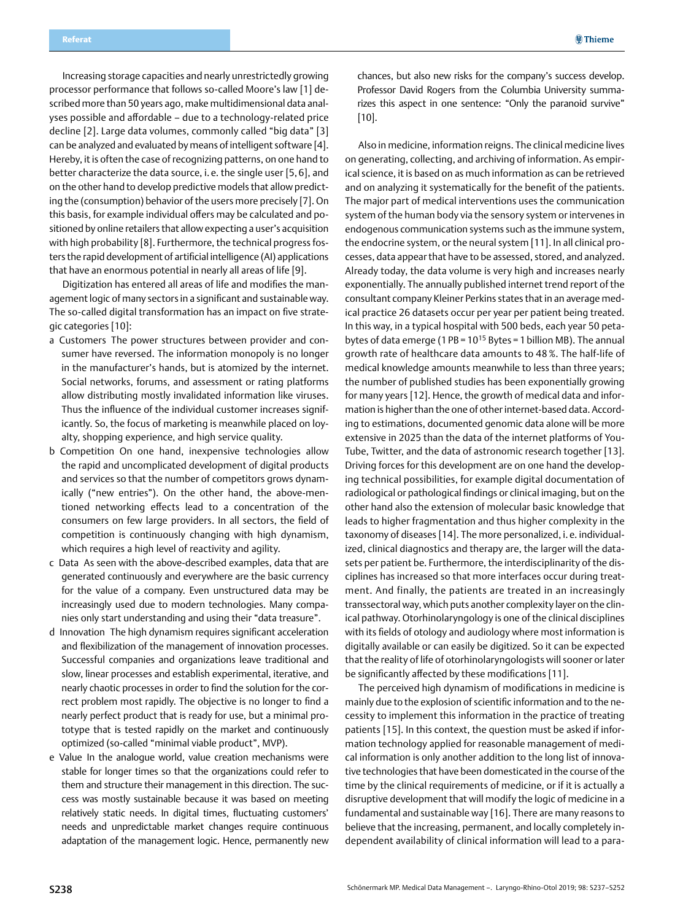Increasing storage capacities and nearly unrestrictedly growing processor performance that follows so-called Moore's law [1] described more than 50 years ago, make multidimensional data analyses possible and affordable – due to a technology-related price decline [2]. Large data volumes, commonly called "big data" [3] can be analyzed and evaluated by means of intelligent software [4]. Hereby, it is often the case of recognizing patterns, on one hand to better characterize the data source, i. e. the single user [5, 6], and on the other hand to develop predictive models that allow predicting the (consumption) behavior of the users more precisely [7]. On this basis, for example individual offers may be calculated and positioned by online retailers that allow expecting a user's acquisition with high probability [8]. Furthermore, the technical progress fosters the rapid development of artificial intelligence (AI) applications that have an enormous potential in nearly all areas of life [9].

Digitization has entered all areas of life and modifies the management logic of many sectors in a significant and sustainable way. The so-called digital transformation has an impact on five strategic categories [10]:

- a Customers The power structures between provider and consumer have reversed. The information monopoly is no longer in the manufacturer's hands, but is atomized by the internet. Social networks, forums, and assessment or rating platforms allow distributing mostly invalidated information like viruses. Thus the influence of the individual customer increases significantly. So, the focus of marketing is meanwhile placed on loyalty, shopping experience, and high service quality.
- b Competition On one hand, inexpensive technologies allow the rapid and uncomplicated development of digital products and services so that the number of competitors grows dynamically ("new entries"). On the other hand, the above-mentioned networking effects lead to a concentration of the consumers on few large providers. In all sectors, the field of competition is continuously changing with high dynamism, which requires a high level of reactivity and agility.
- c Data As seen with the above-described examples, data that are generated continuously and everywhere are the basic currency for the value of a company. Even unstructured data may be increasingly used due to modern technologies. Many companies only start understanding and using their "data treasure".
- d Innovation The high dynamism requires significant acceleration and flexibilization of the management of innovation processes. Successful companies and organizations leave traditional and slow, linear processes and establish experimental, iterative, and nearly chaotic processes in order to find the solution for the correct problem most rapidly. The objective is no longer to find a nearly perfect product that is ready for use, but a minimal prototype that is tested rapidly on the market and continuously optimized (so-called "minimal viable product", MVP).
- e Value In the analogue world, value creation mechanisms were stable for longer times so that the organizations could refer to them and structure their management in this direction. The success was mostly sustainable because it was based on meeting relatively static needs. In digital times, fluctuating customers' needs and unpredictable market changes require continuous adaptation of the management logic. Hence, permanently new

chances, but also new risks for the company's success develop. Professor David Rogers from the Columbia University summarizes this aspect in one sentence: "Only the paranoid survive" [10].

Also in medicine, information reigns. The clinical medicine lives on generating, collecting, and archiving of information. As empirical science, it is based on as much information as can be retrieved and on analyzing it systematically for the benefit of the patients. The major part of medical interventions uses the communication system of the human body via the sensory system or intervenes in endogenous communication systems such as the immune system, the endocrine system, or the neural system [11]. In all clinical processes, data appear that have to be assessed, stored, and analyzed. Already today, the data volume is very high and increases nearly exponentially. The annually published internet trend report of the consultant company Kleiner Perkins states that in an average medical practice 26 datasets occur per year per patient being treated. In this way, in a typical hospital with 500 beds, each year 50 petabytes of data emerge (1 PB =  $10^{15}$  Bytes = 1 billion MB). The annual growth rate of healthcare data amounts to 48 %. The half-life of medical knowledge amounts meanwhile to less than three years; the number of published studies has been exponentially growing for many years [12]. Hence, the growth of medical data and information is higher than the one of other internet-based data. According to estimations, documented genomic data alone will be more extensive in 2025 than the data of the internet platforms of You-Tube, Twitter, and the data of astronomic research together [13]. Driving forces for this development are on one hand the developing technical possibilities, for example digital documentation of radiological or pathological findings or clinical imaging, but on the other hand also the extension of molecular basic knowledge that leads to higher fragmentation and thus higher complexity in the taxonomy of diseases [14]. The more personalized, i. e. individualized, clinical diagnostics and therapy are, the larger will the datasets per patient be. Furthermore, the interdisciplinarity of the disciplines has increased so that more interfaces occur during treatment. And finally, the patients are treated in an increasingly transsectoral way, which puts another complexity layer on the clinical pathway. Otorhinolaryngology is one of the clinical disciplines with its fields of otology and audiology where most information is digitally available or can easily be digitized. So it can be expected that the reality of life of otorhinolaryngologists will sooner or later be significantly affected by these modifications [11].

The perceived high dynamism of modifications in medicine is mainly due to the explosion of scientific information and to the necessity to implement this information in the practice of treating patients [15]. In this context, the question must be asked if information technology applied for reasonable management of medical information is only another addition to the long list of innovative technologies that have been domesticated in the course of the time by the clinical requirements of medicine, or if it is actually a disruptive development that will modify the logic of medicine in a fundamental and sustainable way [16]. There are many reasons to believe that the increasing, permanent, and locally completely independent availability of clinical information will lead to a para-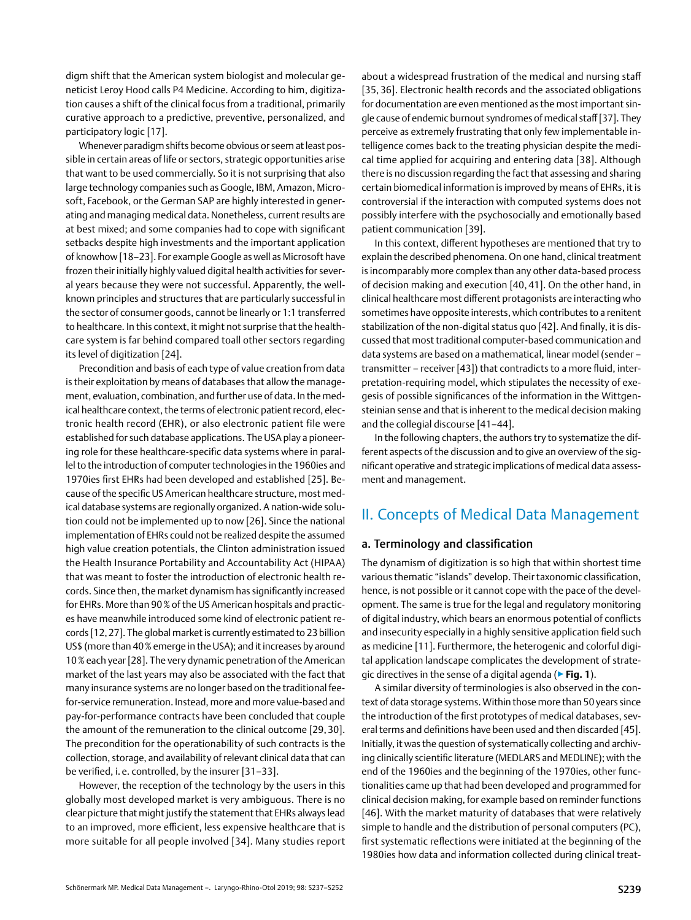<span id="page-2-0"></span>digm shift that the American system biologist and molecular geneticist Leroy Hood calls P4 Medicine. According to him, digitization causes a shift of the clinical focus from a traditional, primarily curative approach to a predictive, preventive, personalized, and participatory logic [17].

Whenever paradigm shifts become obvious or seem at least possible in certain areas of life or sectors, strategic opportunities arise that want to be used commercially. So it is not surprising that also large technology companies such as Google, IBM, Amazon, Microsoft, Facebook, or the German SAP are highly interested in generating and managing medical data. Nonetheless, current results are at best mixed; and some companies had to cope with significant setbacks despite high investments and the important application of knowhow [18–23]. For example Google as well as Microsoft have frozen their initially highly valued digital health activities for several years because they were not successful. Apparently, the wellknown principles and structures that are particularly successful in the sector of consumer goods, cannot be linearly or 1:1 transferred to healthcare. In this context, it might not surprise that the healthcare system is far behind compared toall other sectors regarding its level of digitization [24].

Precondition and basis of each type of value creation from data is their exploitation by means of databases that allow the management, evaluation, combination, and further use of data. In the medical healthcare context, the terms of electronic patient record, electronic health record (EHR), or also electronic patient file were established for such database applications. The USA play a pioneering role for these healthcare-specific data systems where in parallel to the introduction of computer technologies in the 1960ies and 1970ies first EHRs had been developed and established [25]. Because of the specific US American healthcare structure, most medical database systems are regionally organized. A nation-wide solution could not be implemented up to now [26]. Since the national implementation of EHRs could not be realized despite the assumed high value creation potentials, the Clinton administration issued the Health Insurance Portability and Accountability Act (HIPAA) that was meant to foster the introduction of electronic health records. Since then, the market dynamism has significantly increased for EHRs. More than 90% of the US American hospitals and practices have meanwhile introduced some kind of electronic patient records [12, 27]. The global market is currently estimated to 23 billion US\$ (more than 40% emerge in the USA); and it increases by around 10% each year [28]. The very dynamic penetration of the American market of the last years may also be associated with the fact that many insurance systems are no longer based on the traditional feefor-service remuneration. Instead, more and more value-based and pay-for-performance contracts have been concluded that couple the amount of the remuneration to the clinical outcome [29, 30]. The precondition for the operationability of such contracts is the collection, storage, and availability of relevant clinical data that can be verified, i. e. controlled, by the insurer [31–33].

However, the reception of the technology by the users in this globally most developed market is very ambiguous. There is no clear picture that might justify the statement that EHRs always lead to an improved, more efficient, less expensive healthcare that is more suitable for all people involved [34]. Many studies report about a widespread frustration of the medical and nursing staff [35, 36]. Electronic health records and the associated obligations for documentation are even mentioned as the most important single cause of endemic burnout syndromes of medical staff [37]. They perceive as extremely frustrating that only few implementable intelligence comes back to the treating physician despite the medical time applied for acquiring and entering data [38]. Although there is no discussion regarding the fact that assessing and sharing certain biomedical information is improved by means of EHRs, it is controversial if the interaction with computed systems does not possibly interfere with the psychosocially and emotionally based patient communication [39].

In this context, different hypotheses are mentioned that try to explain the described phenomena. On one hand, clinical treatment is incomparably more complex than any other data-based process of decision making and execution [40, 41]. On the other hand, in clinical healthcare most different protagonists are interacting who sometimes have opposite interests, which contributes to a renitent stabilization of the non-digital status quo [42]. And finally, it is discussed that most traditional computer-based communication and data systems are based on a mathematical, linear model (sender – transmitter – receiver [43]) that contradicts to a more fluid, interpretation-requiring model, which stipulates the necessity of exegesis of possible significances of the information in the Wittgensteinian sense and that is inherent to the medical decision making and the collegial discourse [41–44].

In the following chapters, the authors try to systematize the different aspects of the discussion and to give an overview of the significant operative and strategic implications of medical data assessment and management.

## II. Concepts of Medical Data Management

## a. Terminology and classification

The dynamism of digitization is so high that within shortest time various thematic "islands" develop. Their taxonomic classification, hence, is not possible or it cannot cope with the pace of the development. The same is true for the legal and regulatory monitoring of digital industry, which bears an enormous potential of conflicts and insecurity especially in a highly sensitive application field such as medicine [11]. Furthermore, the heterogenic and colorful digital application landscape complicates the development of strategic directives in the sense of a digital agenda (▶**Fig. 1**).

A similar diversity of terminologies is also observed in the context of data storage systems. Within those more than 50 years since the introduction of the first prototypes of medical databases, several terms and definitions have been used and then discarded [45]. Initially, it was the question of systematically collecting and archiving clinically scientific literature (MEDLARS and MEDLINE); with the end of the 1960ies and the beginning of the 1970ies, other functionalities came up that had been developed and programmed for clinical decision making, for example based on reminder functions [46]. With the market maturity of databases that were relatively simple to handle and the distribution of personal computers (PC), first systematic reflections were initiated at the beginning of the 1980ies how data and information collected during clinical treat-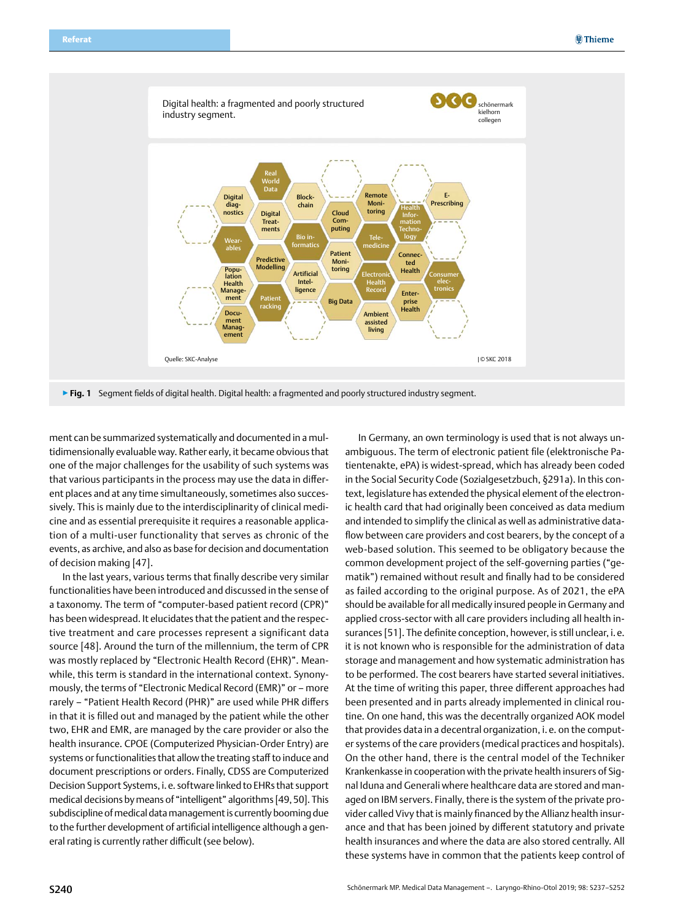

ment can be summarized systematically and documented in a multidimensionally evaluable way. Rather early, it became obvious that one of the major challenges for the usability of such systems was that various participants in the process may use the data in different places and at any time simultaneously, sometimes also successively. This is mainly due to the interdisciplinarity of clinical medicine and as essential prerequisite it requires a reasonable application of a multi-user functionality that serves as chronic of the events, as archive, and also as base for decision and documentation of decision making [47].

In the last years, various terms that finally describe very similar functionalities have been introduced and discussed in the sense of a taxonomy. The term of "computer-based patient record (CPR)" has been widespread. It elucidates that the patient and the respective treatment and care processes represent a significant data source [48]. Around the turn of the millennium, the term of CPR was mostly replaced by "Electronic Health Record (EHR)". Meanwhile, this term is standard in the international context. Synonymously, the terms of "Electronic Medical Record (EMR)" or – more rarely – "Patient Health Record (PHR)" are used while PHR differs in that it is filled out and managed by the patient while the other two, EHR and EMR, are managed by the care provider or also the health insurance. CPOE (Computerized Physician-Order Entry) are systems or functionalities that allow the treating staff to induce and document prescriptions or orders. Finally, CDSS are Computerized Decision Support Systems, i.e. software linked to EHRs that support medical decisions by means of "intelligent" algorithms [49,50]. This subdiscipline of medical data management is currently booming due to the further development of artificial intelligence although a general rating is currently rather difficult (see below).

In Germany, an own terminology is used that is not always unambiguous. The term of electronic patient file (elektronische Patientenakte, ePA) is widest-spread, which has already been coded in the Social Security Code (Sozialgesetzbuch, §291a). In this context, legislature has extended the physical element of the electronic health card that had originally been conceived as data medium and intended to simplify the clinical as well as administrative dataflow between care providers and cost bearers, by the concept of a web-based solution. This seemed to be obligatory because the common development project of the self-governing parties ("gematik") remained without result and finally had to be considered as failed according to the original purpose. As of 2021, the ePA should be available for all medically insured people in Germany and applied cross-sector with all care providers including all health insurances [51]. The definite conception, however, is still unclear, i. e. it is not known who is responsible for the administration of data storage and management and how systematic administration has to be performed. The cost bearers have started several initiatives. At the time of writing this paper, three different approaches had been presented and in parts already implemented in clinical routine. On one hand, this was the decentrally organized AOK model that provides data in a decentral organization, i. e. on the computer systems of the care providers (medical practices and hospitals). On the other hand, there is the central model of the Techniker Krankenkasse in cooperation with the private health insurers of Signal Iduna and Generali where healthcare data are stored and managed on IBM servers. Finally, there is the system of the private provider called Vivy that is mainly financed by the Allianz health insurance and that has been joined by different statutory and private health insurances and where the data are also stored centrally. All these systems have in common that the patients keep control of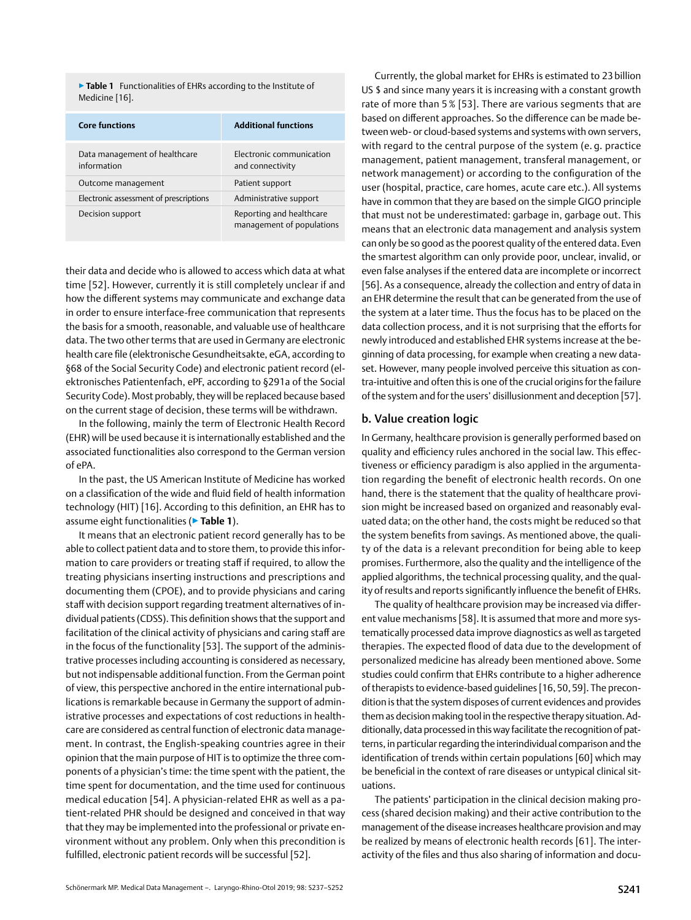<span id="page-4-0"></span>▶**Table 1** Functionalities of EHRs according to the Institute of Medicine [16].

| <b>Core functions</b>                        | <b>Additional functions</b>                           |
|----------------------------------------------|-------------------------------------------------------|
| Data management of healthcare<br>information | Electronic communication<br>and connectivity          |
| Outcome management                           | Patient support                                       |
| Electronic assessment of prescriptions       | Administrative support                                |
| Decision support                             | Reporting and healthcare<br>management of populations |

their data and decide who is allowed to access which data at what time [52]. However, currently it is still completely unclear if and how the different systems may communicate and exchange data in order to ensure interface-free communication that represents the basis for a smooth, reasonable, and valuable use of healthcare data. The two other terms that are used in Germany are electronic health care file (elektronische Gesundheitsakte, eGA, according to §68 of the Social Security Code) and electronic patient record (elektronisches Patientenfach, ePF, according to §291a of the Social Security Code). Most probably, they will be replaced because based on the current stage of decision, these terms will be withdrawn.

In the following, mainly the term of Electronic Health Record (EHR) will be used because it is internationally established and the associated functionalities also correspond to the German version of ePA.

In the past, the US American Institute of Medicine has worked on a classification of the wide and fluid field of health information technology (HIT) [16]. According to this definition, an EHR has to assume eight functionalities (▶**Table 1**).

It means that an electronic patient record generally has to be able to collect patient data and to store them, to provide this information to care providers or treating staff if required, to allow the treating physicians inserting instructions and prescriptions and documenting them (CPOE), and to provide physicians and caring staff with decision support regarding treatment alternatives of individual patients (CDSS). This definition shows that the support and facilitation of the clinical activity of physicians and caring staff are in the focus of the functionality [53]. The support of the administrative processes including accounting is considered as necessary, but not indispensable additional function. From the German point of view, this perspective anchored in the entire international publications is remarkable because in Germany the support of administrative processes and expectations of cost reductions in healthcare are considered as central function of electronic data management. In contrast, the English-speaking countries agree in their opinion that the main purpose of HIT is to optimize the three components of a physician's time: the time spent with the patient, the time spent for documentation, and the time used for continuous medical education [54]. A physician-related EHR as well as a patient-related PHR should be designed and conceived in that way that they may be implemented into the professional or private environment without any problem. Only when this precondition is fulfilled, electronic patient records will be successful [52].

Currently, the global market for EHRs is estimated to 23 billion US \$ and since many years it is increasing with a constant growth rate of more than 5 % [53]. There are various segments that are based on different approaches. So the difference can be made between web- or cloud-based systems and systems with own servers, with regard to the central purpose of the system (e. g. practice management, patient management, transferal management, or network management) or according to the configuration of the user (hospital, practice, care homes, acute care etc.). All systems have in common that they are based on the simple GIGO principle that must not be underestimated: garbage in, garbage out. This means that an electronic data management and analysis system can only be so good as the poorest quality of the entered data. Even the smartest algorithm can only provide poor, unclear, invalid, or even false analyses if the entered data are incomplete or incorrect [56]. As a consequence, already the collection and entry of data in an EHR determine the result that can be generated from the use of the system at a later time. Thus the focus has to be placed on the data collection process, and it is not surprising that the efforts for newly introduced and established EHR systems increase at the beginning of data processing, for example when creating a new dataset. However, many people involved perceive this situation as contra-intuitive and often this is one of the crucial origins for the failure of the system and for the users' disillusionment and deception [57].

## b. Value creation logic

In Germany, healthcare provision is generally performed based on quality and efficiency rules anchored in the social law. This effectiveness or efficiency paradigm is also applied in the argumentation regarding the benefit of electronic health records. On one hand, there is the statement that the quality of healthcare provision might be increased based on organized and reasonably evaluated data; on the other hand, the costs might be reduced so that the system benefits from savings. As mentioned above, the quality of the data is a relevant precondition for being able to keep promises. Furthermore, also the quality and the intelligence of the applied algorithms, the technical processing quality, and the quality of results and reports significantly influence the benefit of EHRs.

The quality of healthcare provision may be increased via different value mechanisms [58]. It is assumed that more and more systematically processed data improve diagnostics as well as targeted therapies. The expected flood of data due to the development of personalized medicine has already been mentioned above. Some studies could confirm that EHRs contribute to a higher adherence of therapists to evidence-based guidelines [16,50,59]. The precondition is that the system disposes of current evidences and provides them as decision making tool in the respective therapy situation. Additionally, data processed in this way facilitate the recognition of patterns, in particular regarding the interindividual comparison and the identification of trends within certain populations [60] which may be beneficial in the context of rare diseases or untypical clinical situations.

The patients' participation in the clinical decision making process (shared decision making) and their active contribution to the management of the disease increases healthcare provision and may be realized by means of electronic health records [61]. The interactivity of the files and thus also sharing of information and docu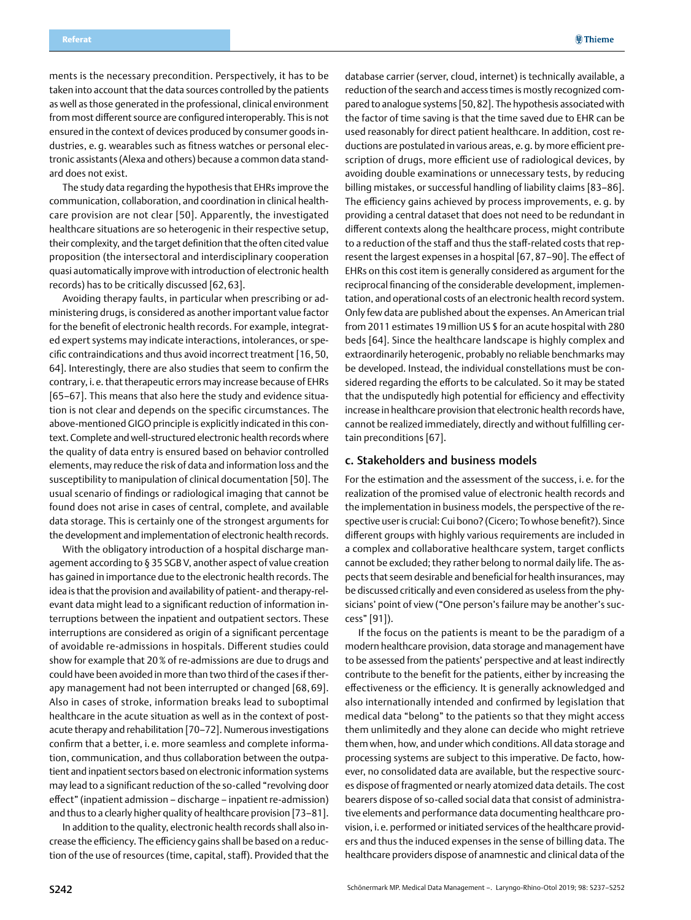<span id="page-5-0"></span>ments is the necessary precondition. Perspectively, it has to be taken into account that the data sources controlled by the patients as well as those generated in the professional, clinical environment from most different source are configured interoperably. This is not ensured in the context of devices produced by consumer goods industries, e. g. wearables such as fitness watches or personal electronic assistants (Alexa and others) because a common data standard does not exist.

The study data regarding the hypothesis that EHRs improve the communication, collaboration, and coordination in clinical healthcare provision are not clear [50]. Apparently, the investigated healthcare situations are so heterogenic in their respective setup, their complexity, and the target definition that the often cited value proposition (the intersectoral and interdisciplinary cooperation quasi automatically improve with introduction of electronic health records) has to be critically discussed [62, 63].

Avoiding therapy faults, in particular when prescribing or administering drugs, is considered as another important value factor for the benefit of electronic health records. For example, integrated expert systems may indicate interactions, intolerances, or specific contraindications and thus avoid incorrect treatment [16, 50, 64]. Interestingly, there are also studies that seem to confirm the contrary, i. e. that therapeutic errors may increase because of EHRs [65–67]. This means that also here the study and evidence situation is not clear and depends on the specific circumstances. The above-mentioned GIGO principle is explicitly indicated in this context. Complete and well-structured electronic health records where the quality of data entry is ensured based on behavior controlled elements, may reduce the risk of data and information loss and the susceptibility to manipulation of clinical documentation [50]. The usual scenario of findings or radiological imaging that cannot be found does not arise in cases of central, complete, and available data storage. This is certainly one of the strongest arguments for the development and implementation of electronic health records.

With the obligatory introduction of a hospital discharge management according to § 35 SGB V, another aspect of value creation has gained in importance due to the electronic health records. The idea is that the provision and availability of patient- and therapy-relevant data might lead to a significant reduction of information interruptions between the inpatient and outpatient sectors. These interruptions are considered as origin of a significant percentage of avoidable re-admissions in hospitals. Different studies could show for example that 20% of re-admissions are due to drugs and could have been avoided in more than two third of the cases if therapy management had not been interrupted or changed [68, 69]. Also in cases of stroke, information breaks lead to suboptimal healthcare in the acute situation as well as in the context of postacute therapy and rehabilitation [70–72]. Numerous investigations confirm that a better, i. e. more seamless and complete information, communication, and thus collaboration between the outpatient and inpatient sectors based on electronic information systems may lead to a significant reduction of the so-called "revolving door effect" (inpatient admission – discharge – inpatient re-admission) and thus to a clearly higher quality of healthcare provision [73–81].

In addition to the quality, electronic health records shall also increase the efficiency. The efficiency gains shall be based on a reduction of the use of resources (time, capital, staff). Provided that the

database carrier (server, cloud, internet) is technically available, a reduction of the search and access times is mostly recognized compared to analogue systems [50,82]. The hypothesis associated with the factor of time saving is that the time saved due to EHR can be used reasonably for direct patient healthcare. In addition, cost reductions are postulated in various areas, e.g. by more efficient prescription of drugs, more efficient use of radiological devices, by avoiding double examinations or unnecessary tests, by reducing billing mistakes, or successful handling of liability claims [83–86]. The efficiency gains achieved by process improvements, e. g. by providing a central dataset that does not need to be redundant in different contexts along the healthcare process, might contribute to a reduction of the staff and thus the staff-related costs that represent the largest expenses in a hospital [67, 87–90]. The effect of EHRs on this cost item is generally considered as argument for the reciprocal financing of the considerable development, implementation, and operational costs of an electronic health record system. Only few data are published about the expenses. An American trial from 2011 estimates 19million US \$ for an acute hospital with 280 beds [64]. Since the healthcare landscape is highly complex and extraordinarily heterogenic, probably no reliable benchmarks may be developed. Instead, the individual constellations must be considered regarding the efforts to be calculated. So it may be stated that the undisputedly high potential for efficiency and effectivity increase in healthcare provision that electronic health records have, cannot be realized immediately, directly and without fulfilling certain preconditions [67].

## c. Stakeholders and business models

For the estimation and the assessment of the success, i. e. for the realization of the promised value of electronic health records and the implementation in business models, the perspective of the respective user is crucial: Cui bono? (Cicero; To whose benefit?). Since different groups with highly various requirements are included in a complex and collaborative healthcare system, target conflicts cannot be excluded; they rather belong to normal daily life. The aspects that seem desirable and beneficial for health insurances, may be discussed critically and even considered as useless from the physicians' point of view ("One person's failure may be another's success" [91]).

If the focus on the patients is meant to be the paradigm of a modern healthcare provision, data storage and management have to be assessed from the patients' perspective and at least indirectly contribute to the benefit for the patients, either by increasing the effectiveness or the efficiency. It is generally acknowledged and also internationally intended and confirmed by legislation that medical data "belong" to the patients so that they might access them unlimitedly and they alone can decide who might retrieve them when, how, and under which conditions. All data storage and processing systems are subject to this imperative. De facto, however, no consolidated data are available, but the respective sources dispose of fragmented or nearly atomized data details. The cost bearers dispose of so-called social data that consist of administrative elements and performance data documenting healthcare provision, i. e. performed or initiated services of the healthcare providers and thus the induced expenses in the sense of billing data. The healthcare providers dispose of anamnestic and clinical data of the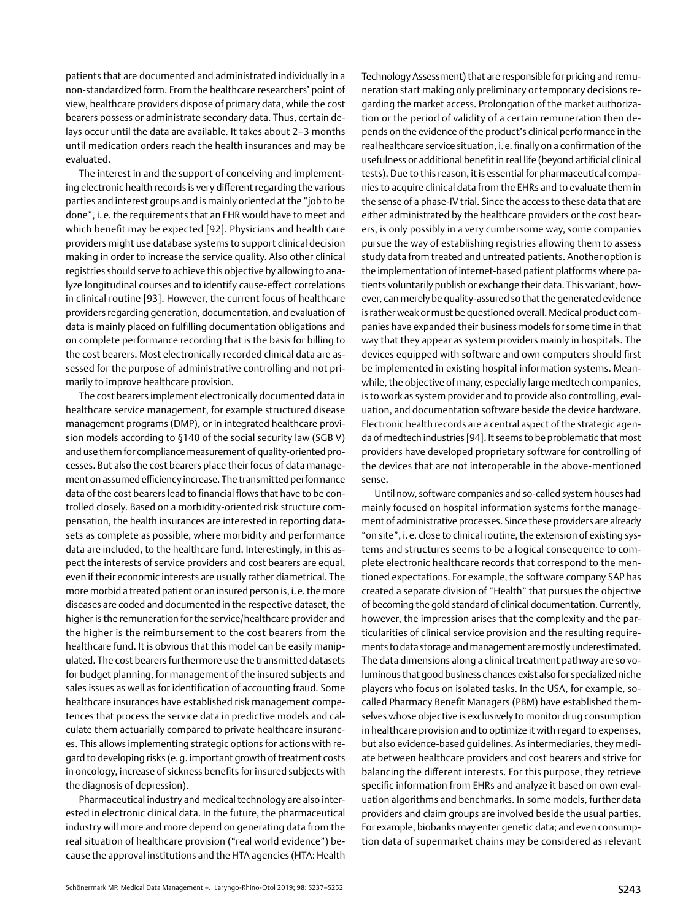patients that are documented and administrated individually in a non-standardized form. From the healthcare researchers' point of view, healthcare providers dispose of primary data, while the cost bearers possess or administrate secondary data. Thus, certain delays occur until the data are available. It takes about 2–3 months until medication orders reach the health insurances and may be evaluated.

The interest in and the support of conceiving and implementing electronic health records is very different regarding the various parties and interest groups and is mainly oriented at the "job to be done", i. e. the requirements that an EHR would have to meet and which benefit may be expected [92]. Physicians and health care providers might use database systems to support clinical decision making in order to increase the service quality. Also other clinical registries should serve to achieve this objective by allowing to analyze longitudinal courses and to identify cause-effect correlations in clinical routine [93]. However, the current focus of healthcare providers regarding generation, documentation, and evaluation of data is mainly placed on fulfilling documentation obligations and on complete performance recording that is the basis for billing to the cost bearers. Most electronically recorded clinical data are assessed for the purpose of administrative controlling and not primarily to improve healthcare provision.

The cost bearers implement electronically documented data in healthcare service management, for example structured disease management programs (DMP), or in integrated healthcare provision models according to §140 of the social security law (SGB V) and use them for compliance measurement of quality-oriented processes. But also the cost bearers place their focus of data management on assumed efficiency increase. The transmitted performance data of the cost bearers lead to financial flows that have to be controlled closely. Based on a morbidity-oriented risk structure compensation, the health insurances are interested in reporting datasets as complete as possible, where morbidity and performance data are included, to the healthcare fund. Interestingly, in this aspect the interests of service providers and cost bearers are equal, even if their economic interests are usually rather diametrical. The more morbid a treated patient or an insured person is, i.e. the more diseases are coded and documented in the respective dataset, the higher is the remuneration for the service/healthcare provider and the higher is the reimbursement to the cost bearers from the healthcare fund. It is obvious that this model can be easily manipulated. The cost bearers furthermore use the transmitted datasets for budget planning, for management of the insured subjects and sales issues as well as for identification of accounting fraud. Some healthcare insurances have established risk management competences that process the service data in predictive models and calculate them actuarially compared to private healthcare insurances. This allows implementing strategic options for actions with regard to developing risks (e.g. important growth of treatment costs in oncology, increase of sickness benefits for insured subjects with the diagnosis of depression).

Pharmaceutical industry and medical technology are also interested in electronic clinical data. In the future, the pharmaceutical industry will more and more depend on generating data from the real situation of healthcare provision ("real world evidence") because the approval institutions and the HTA agencies (HTA: Health Technology Assessment) that are responsible for pricing and remuneration start making only preliminary or temporary decisions regarding the market access. Prolongation of the market authorization or the period of validity of a certain remuneration then depends on the evidence of the product's clinical performance in the real healthcare service situation, i.e. finally on a confirmation of the usefulness or additional benefit in real life (beyond artificial clinical tests). Due to this reason, it is essential for pharmaceutical companies to acquire clinical data from the EHRs and to evaluate them in the sense of a phase-IV trial. Since the access to these data that are either administrated by the healthcare providers or the cost bearers, is only possibly in a very cumbersome way, some companies pursue the way of establishing registries allowing them to assess study data from treated and untreated patients. Another option is the implementation of internet-based patient platforms where patients voluntarily publish or exchange their data. This variant, however, can merely be quality-assured so that the generated evidence is rather weak or must be questioned overall. Medical product companies have expanded their business models for some time in that way that they appear as system providers mainly in hospitals. The devices equipped with software and own computers should first be implemented in existing hospital information systems. Meanwhile, the objective of many, especially large medtech companies, is to work as system provider and to provide also controlling, evaluation, and documentation software beside the device hardware. Electronic health records are a central aspect of the strategic agenda of medtech industries [94]. It seems to be problematic that most providers have developed proprietary software for controlling of the devices that are not interoperable in the above-mentioned sense.

Until now, software companies and so-called system houses had mainly focused on hospital information systems for the management of administrative processes. Since these providers are already "on site", i. e. close to clinical routine, the extension of existing systems and structures seems to be a logical consequence to complete electronic healthcare records that correspond to the mentioned expectations. For example, the software company SAP has created a separate division of "Health" that pursues the objective of becoming the gold standard of clinical documentation. Currently, however, the impression arises that the complexity and the particularities of clinical service provision and the resulting requirements to data storage and management are mostly underestimated. The data dimensions along a clinical treatment pathway are so voluminous that good business chances exist also for specialized niche players who focus on isolated tasks. In the USA, for example, socalled Pharmacy Benefit Managers (PBM) have established themselves whose objective is exclusively to monitor drug consumption in healthcare provision and to optimize it with regard to expenses, but also evidence-based guidelines. As intermediaries, they mediate between healthcare providers and cost bearers and strive for balancing the different interests. For this purpose, they retrieve specific information from EHRs and analyze it based on own evaluation algorithms and benchmarks. In some models, further data providers and claim groups are involved beside the usual parties. For example, biobanks may enter genetic data; and even consumption data of supermarket chains may be considered as relevant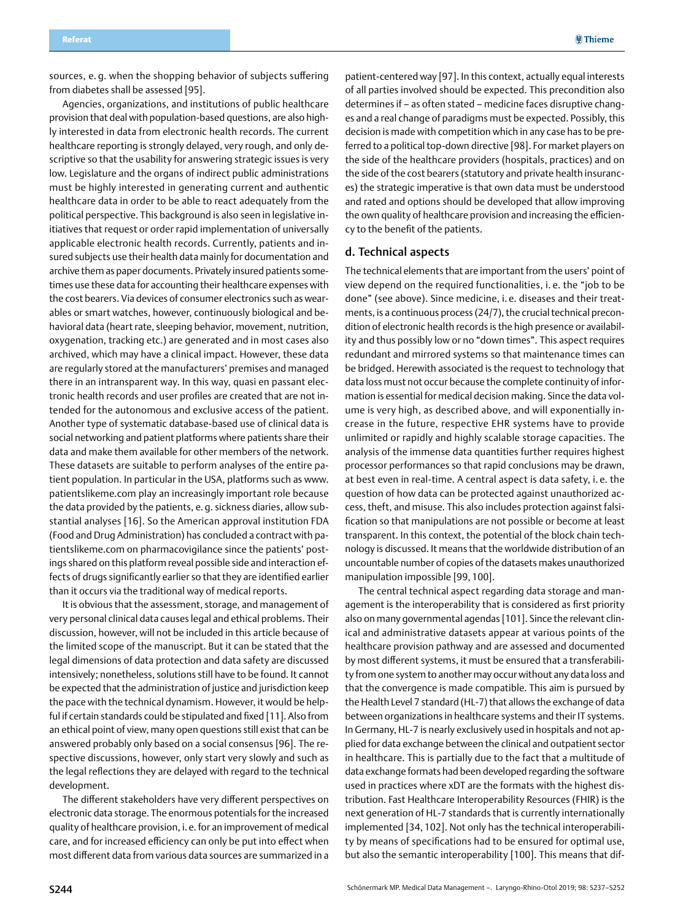<span id="page-7-0"></span>sources, e. g. when the shopping behavior of subjects suffering from diabetes shall be assessed [95].

Agencies, organizations, and institutions of public healthcare provision that deal with population-based questions, are also highly interested in data from electronic health records. The current healthcare reporting is strongly delayed, very rough, and only descriptive so that the usability for answering strategic issues is very low. Legislature and the organs of indirect public administrations must be highly interested in generating current and authentic healthcare data in order to be able to react adequately from the political perspective. This background is also seen in legislative initiatives that request or order rapid implementation of universally applicable electronic health records. Currently, patients and insured subjects use their health data mainly for documentation and archive them as paper documents. Privately insured patients sometimes use these data for accounting their healthcare expenses with the cost bearers. Via devices of consumer electronics such as wearables or smart watches, however, continuously biological and behavioral data (heart rate, sleeping behavior, movement, nutrition, oxygenation, tracking etc.) are generated and in most cases also archived, which may have a clinical impact. However, these data are regularly stored at the manufacturers' premises and managed there in an intransparent way. In this way, quasi en passant electronic health records and user profiles are created that are not intended for the autonomous and exclusive access of the patient. Another type of systematic database-based use of clinical data is social networking and patient platforms where patients share their data and make them available for other members of the network. These datasets are suitable to perform analyses of the entire patient population. In particular in the USA, platforms such as www. patientslikeme.com play an increasingly important role because the data provided by the patients, e. g. sickness diaries, allow substantial analyses [16]. So the American approval institution FDA (Food and Drug Administration) has concluded a contract with patientslikeme.com on pharmacovigilance since the patients' postings shared on this platform reveal possible side and interaction effects of drugs significantly earlier so that they are identified earlier than it occurs via the traditional way of medical reports.

It is obvious that the assessment, storage, and management of very personal clinical data causes legal and ethical problems. Their discussion, however, will not be included in this article because of the limited scope of the manuscript. But it can be stated that the legal dimensions of data protection and data safety are discussed intensively; nonetheless, solutions still have to be found. It cannot be expected that the administration of justice and jurisdiction keep the pace with the technical dynamism. However, it would be helpful if certain standards could be stipulated and fixed [11]. Also from an ethical point of view, many open questions still exist that can be answered probably only based on a social consensus [96]. The respective discussions, however, only start very slowly and such as the legal reflections they are delayed with regard to the technical development.

The different stakeholders have very different perspectives on electronic data storage. The enormous potentials for the increased quality of healthcare provision, i. e. for an improvement of medical care, and for increased efficiency can only be put into effect when most different data from various data sources are summarized in a

patient-centered way [97]. In this context, actually equal interests of all parties involved should be expected. This precondition also determines if – as often stated – medicine faces disruptive changes and a real change of paradigms must be expected. Possibly, this decision is made with competition which in any case has to be preferred to a political top-down directive [98]. For market players on the side of the healthcare providers (hospitals, practices) and on the side of the cost bearers (statutory and private health insurances) the strategic imperative is that own data must be understood and rated and options should be developed that allow improving the own quality of healthcare provision and increasing the efficiency to the benefit of the patients.

## d. Technical aspects

The technical elements that are important from the users' point of view depend on the required functionalities, i. e. the "job to be done" (see above). Since medicine, i. e. diseases and their treatments, is a continuous process (24/7), the crucial technical precondition of electronic health records is the high presence or availability and thus possibly low or no "down times". This aspect requires redundant and mirrored systems so that maintenance times can be bridged. Herewith associated is the request to technology that data loss must not occur because the complete continuity of information is essential for medical decision making. Since the data volume is very high, as described above, and will exponentially increase in the future, respective EHR systems have to provide unlimited or rapidly and highly scalable storage capacities. The analysis of the immense data quantities further requires highest processor performances so that rapid conclusions may be drawn, at best even in real-time. A central aspect is data safety, i. e. the question of how data can be protected against unauthorized access, theft, and misuse. This also includes protection against falsification so that manipulations are not possible or become at least transparent. In this context, the potential of the block chain technology is discussed. It means that the worldwide distribution of an uncountable number of copies of the datasets makes unauthorized manipulation impossible [99, 100].

The central technical aspect regarding data storage and management is the interoperability that is considered as first priority also on many governmental agendas [101]. Since the relevant clinical and administrative datasets appear at various points of the healthcare provision pathway and are assessed and documented by most different systems, it must be ensured that a transferability from one system to another may occur without any data loss and that the convergence is made compatible. This aim is pursued by the Health Level 7 standard (HL-7) that allows the exchange of data between organizations in healthcare systems and their IT systems. In Germany, HL-7 is nearly exclusively used in hospitals and not applied for data exchange between the clinical and outpatient sector in healthcare. This is partially due to the fact that a multitude of data exchange formats had been developed regarding the software used in practices where xDT are the formats with the highest distribution. Fast Healthcare Interoperability Resources (FHIR) is the next generation of HL-7 standards that is currently internationally implemented [34, 102]. Not only has the technical interoperability by means of specifications had to be ensured for optimal use, but also the semantic interoperability [100]. This means that dif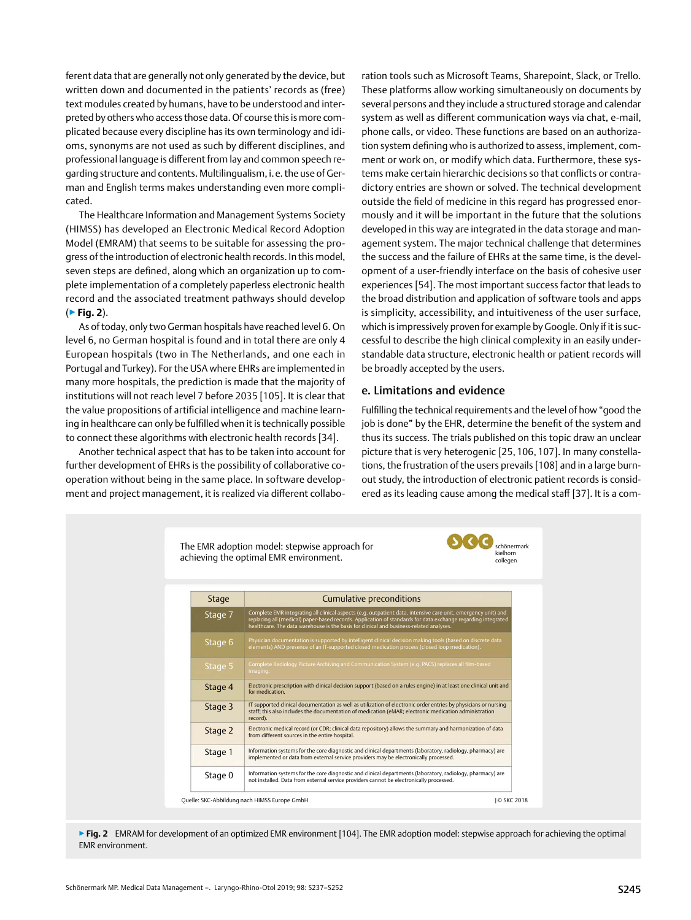<span id="page-8-0"></span>ferent data that are generally not only generated by the device, but written down and documented in the patients' records as (free) text modules created by humans, have to be understood and interpreted by others who access those data. Of course this is more complicated because every discipline has its own terminology and idioms, synonyms are not used as such by different disciplines, and professional language is different from lay and common speech regarding structure and contents. Multilingualism, i.e. the use of German and English terms makes understanding even more complicated.

The Healthcare Information and Management Systems Society (HIMSS) has developed an Electronic Medical Record Adoption Model (EMRAM) that seems to be suitable for assessing the progress of the introduction of electronic health records. In this model, seven steps are defined, along which an organization up to complete implementation of a completely paperless electronic health record and the associated treatment pathways should develop (▶**Fig. 2**).

As of today, only two German hospitals have reached level 6. On level 6, no German hospital is found and in total there are only 4 European hospitals (two in The Netherlands, and one each in Portugal and Turkey). For the USA where EHRs are implemented in many more hospitals, the prediction is made that the majority of institutions will not reach level 7 before 2035 [105]. It is clear that the value propositions of artificial intelligence and machine learning in healthcare can only be fulfilled when it is technically possible to connect these algorithms with electronic health records [34].

Another technical aspect that has to be taken into account for further development of EHRs is the possibility of collaborative cooperation without being in the same place. In software development and project management, it is realized via different collaboration tools such as Microsoft Teams, Sharepoint, Slack, or Trello. These platforms allow working simultaneously on documents by several persons and they include a structured storage and calendar system as well as different communication ways via chat, e-mail, phone calls, or video. These functions are based on an authorization system defining who is authorized to assess, implement, comment or work on, or modify which data. Furthermore, these systems make certain hierarchic decisions so that conflicts or contradictory entries are shown or solved. The technical development outside the field of medicine in this regard has progressed enormously and it will be important in the future that the solutions developed in this way are integrated in the data storage and management system. The major technical challenge that determines the success and the failure of EHRs at the same time, is the development of a user-friendly interface on the basis of cohesive user experiences [54]. The most important success factor that leads to the broad distribution and application of software tools and apps is simplicity, accessibility, and intuitiveness of the user surface, which is impressively proven for example by Google. Only if it is successful to describe the high clinical complexity in an easily understandable data structure, electronic health or patient records will be broadly accepted by the users.

## e. Limitations and evidence

Fulfilling the technical requirements and the level of how "good the job is done" by the EHR, determine the benefit of the system and thus its success. The trials published on this topic draw an unclear picture that is very heterogenic [25, 106, 107]. In many constellations, the frustration of the users prevails [108] and in a large burnout study, the introduction of electronic patient records is considered as its leading cause among the medical staff [37]. It is a com-



▶ Fig. 2 EMRAM for development of an optimized EMR environment [104]. The EMR adoption model: stepwise approach for achieving the optimal EMR environment.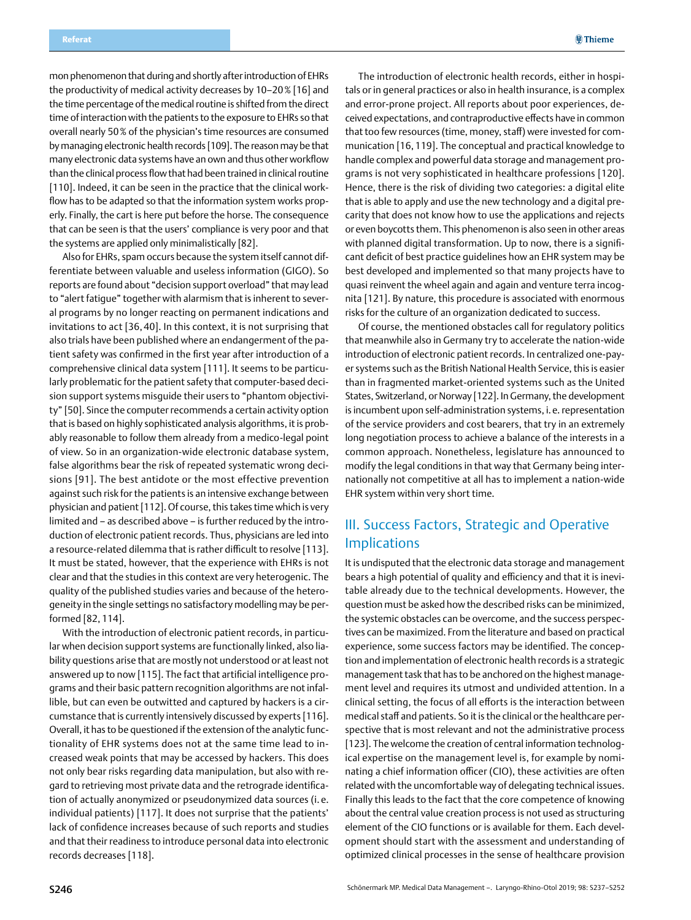<span id="page-9-0"></span>mon phenomenon that during and shortly after introduction of EHRs the productivity of medical activity decreases by 10–20% [16] and the time percentage of the medical routine is shifted from the direct time of interaction with the patients to the exposure to EHRs so that overall nearly 50% of the physician's time resources are consumed by managing electronic health records [109]. The reason may be that many electronic data systems have an own and thus other workflow than the clinical process flow that had been trained in clinical routine [110]. Indeed, it can be seen in the practice that the clinical workflow has to be adapted so that the information system works properly. Finally, the cart is here put before the horse. The consequence that can be seen is that the users' compliance is very poor and that the systems are applied only minimalistically [82].

Also for EHRs, spam occurs because the system itself cannot differentiate between valuable and useless information (GIGO). So reports are found about "decision support overload" that may lead to "alert fatigue" together with alarmism that is inherent to several programs by no longer reacting on permanent indications and invitations to act [36, 40]. In this context, it is not surprising that also trials have been published where an endangerment of the patient safety was confirmed in the first year after introduction of a comprehensive clinical data system [111]. It seems to be particularly problematic for the patient safety that computer-based decision support systems misguide their users to "phantom objectivity" [50]. Since the computer recommends a certain activity option that is based on highly sophisticated analysis algorithms, it is probably reasonable to follow them already from a medico-legal point of view. So in an organization-wide electronic database system, false algorithms bear the risk of repeated systematic wrong decisions [91]. The best antidote or the most effective prevention against such risk for the patients is an intensive exchange between physician and patient [112]. Of course, this takes time which is very limited and – as described above – is further reduced by the introduction of electronic patient records. Thus, physicians are led into a resource-related dilemma that is rather difficult to resolve [113]. It must be stated, however, that the experience with EHRs is not clear and that the studies in this context are very heterogenic. The quality of the published studies varies and because of the heterogeneity in the single settings no satisfactory modelling may be performed [82, 114].

With the introduction of electronic patient records, in particular when decision support systems are functionally linked, also liability questions arise that are mostly not understood or at least not answered up to now [115]. The fact that artificial intelligence programs and their basic pattern recognition algorithms are not infallible, but can even be outwitted and captured by hackers is a circumstance that is currently intensively discussed by experts [116]. Overall, it has to be questioned if the extension of the analytic functionality of EHR systems does not at the same time lead to increased weak points that may be accessed by hackers. This does not only bear risks regarding data manipulation, but also with regard to retrieving most private data and the retrograde identification of actually anonymized or pseudonymized data sources (i. e. individual patients) [117]. It does not surprise that the patients' lack of confidence increases because of such reports and studies and that their readiness to introduce personal data into electronic records decreases [118].

The introduction of electronic health records, either in hospitals or in general practices or also in health insurance, is a complex and error-prone project. All reports about poor experiences, deceived expectations, and contraproductive effects have in common that too few resources (time, money, staff) were invested for communication [16, 119]. The conceptual and practical knowledge to handle complex and powerful data storage and management programs is not very sophisticated in healthcare professions [120]. Hence, there is the risk of dividing two categories: a digital elite that is able to apply and use the new technology and a digital precarity that does not know how to use the applications and rejects or even boycotts them. This phenomenon is also seen in other areas with planned digital transformation. Up to now, there is a significant deficit of best practice guidelines how an EHR system may be best developed and implemented so that many projects have to quasi reinvent the wheel again and again and venture terra incognita [121]. By nature, this procedure is associated with enormous risks for the culture of an organization dedicated to success.

Of course, the mentioned obstacles call for regulatory politics that meanwhile also in Germany try to accelerate the nation-wide introduction of electronic patient records. In centralized one-payer systems such as the British National Health Service, this is easier than in fragmented market-oriented systems such as the United States, Switzerland, or Norway [122]. In Germany, the development is incumbent upon self-administration systems, i. e. representation of the service providers and cost bearers, that try in an extremely long negotiation process to achieve a balance of the interests in a common approach. Nonetheless, legislature has announced to modify the legal conditions in that way that Germany being internationally not competitive at all has to implement a nation-wide EHR system within very short time.

# III. Success Factors, Strategic and Operative **Implications**

It is undisputed that the electronic data storage and management bears a high potential of quality and efficiency and that it is inevitable already due to the technical developments. However, the question must be asked how the described risks can be minimized, the systemic obstacles can be overcome, and the success perspectives can be maximized. From the literature and based on practical experience, some success factors may be identified. The conception and implementation of electronic health records is a strategic management task that has to be anchored on the highest management level and requires its utmost and undivided attention. In a clinical setting, the focus of all efforts is the interaction between medical staff and patients. So it is the clinical or the healthcare perspective that is most relevant and not the administrative process [123]. The welcome the creation of central information technological expertise on the management level is, for example by nominating a chief information officer (CIO), these activities are often related with the uncomfortable way of delegating technical issues. Finally this leads to the fact that the core competence of knowing about the central value creation process is not used as structuring element of the CIO functions or is available for them. Each development should start with the assessment and understanding of optimized clinical processes in the sense of healthcare provision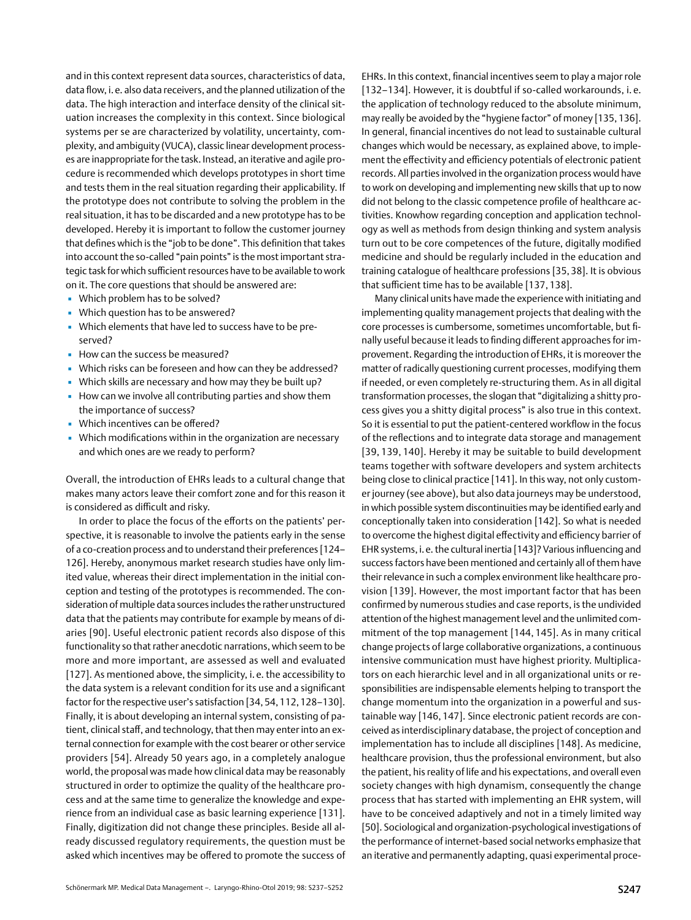and in this context represent data sources, characteristics of data, data flow, i. e. also data receivers, and the planned utilization of the data. The high interaction and interface density of the clinical situation increases the complexity in this context. Since biological systems per se are characterized by volatility, uncertainty, complexity, and ambiguity (VUCA), classic linear development processes are inappropriate for the task. Instead, an iterative and agile procedure is recommended which develops prototypes in short time and tests them in the real situation regarding their applicability. If the prototype does not contribute to solving the problem in the real situation, it has to be discarded and a new prototype has to be developed. Hereby it is important to follow the customer journey that defines which is the "job to be done". This definition that takes into account the so-called "pain points" is the most important strategic task for which sufficient resources have to be available to work on it. The core questions that should be answered are:

- Which problem has to be solved?
- Which question has to be answered?
- Which elements that have led to success have to be preserved?
- How can the success be measured?
- Which risks can be foreseen and how can they be addressed?
- Which skills are necessary and how may they be built up?
- **.** How can we involve all contributing parties and show them the importance of success?
- Which incentives can be offered?
- Which modifications within in the organization are necessary and which ones are we ready to perform?

Overall, the introduction of EHRs leads to a cultural change that makes many actors leave their comfort zone and for this reason it is considered as difficult and risky.

In order to place the focus of the efforts on the patients' perspective, it is reasonable to involve the patients early in the sense of a co-creation process and to understand their preferences [124– 126]. Hereby, anonymous market research studies have only limited value, whereas their direct implementation in the initial conception and testing of the prototypes is recommended. The consideration of multiple data sources includes the rather unstructured data that the patients may contribute for example by means of diaries [90]. Useful electronic patient records also dispose of this functionality so that rather anecdotic narrations, which seem to be more and more important, are assessed as well and evaluated [127]. As mentioned above, the simplicity, i.e. the accessibility to the data system is a relevant condition for its use and a significant factor for the respective user's satisfaction [34, 54,112,128–130]. Finally, it is about developing an internal system, consisting of patient, clinical staff, and technology, that then may enter into an external connection for example with the cost bearer or other service providers [54]. Already 50 years ago, in a completely analogue world, the proposal was made how clinical data may be reasonably structured in order to optimize the quality of the healthcare process and at the same time to generalize the knowledge and experience from an individual case as basic learning experience [131]. Finally, digitization did not change these principles. Beside all already discussed regulatory requirements, the question must be asked which incentives may be offered to promote the success of EHRs. In this context, financial incentives seem to play a major role [132-134]. However, it is doubtful if so-called workarounds, i.e. the application of technology reduced to the absolute minimum, may really be avoided by the "hygiene factor" of money [135, 136]. In general, financial incentives do not lead to sustainable cultural changes which would be necessary, as explained above, to implement the effectivity and efficiency potentials of electronic patient records. All parties involved in the organization process would have to work on developing and implementing new skills that up to now did not belong to the classic competence profile of healthcare activities. Knowhow regarding conception and application technology as well as methods from design thinking and system analysis turn out to be core competences of the future, digitally modified medicine and should be regularly included in the education and training catalogue of healthcare professions [35, 38]. It is obvious that sufficient time has to be available [137, 138].

Many clinical units have made the experience with initiating and implementing quality management projects that dealing with the core processes is cumbersome, sometimes uncomfortable, but finally useful because it leads to finding different approaches for improvement. Regarding the introduction of EHRs, it is moreover the matter of radically questioning current processes, modifying them if needed, or even completely re-structuring them. As in all digital transformation processes, the slogan that "digitalizing a shitty process gives you a shitty digital process" is also true in this context. So it is essential to put the patient-centered workflow in the focus of the reflections and to integrate data storage and management [39, 139, 140]. Hereby it may be suitable to build development teams together with software developers and system architects being close to clinical practice [141]. In this way, not only customer journey (see above), but also data journeys may be understood, in which possible system discontinuities may be identified early and conceptionally taken into consideration [142]. So what is needed to overcome the highest digital effectivity and efficiency barrier of EHR systems, i.e. the cultural inertia [143]? Various influencing and success factors have been mentioned and certainly all of them have their relevance in such a complex environment like healthcare provision [139]. However, the most important factor that has been confirmed by numerous studies and case reports, is the undivided attention of the highest management level and the unlimited commitment of the top management [144, 145]. As in many critical change projects of large collaborative organizations, a continuous intensive communication must have highest priority. Multiplicators on each hierarchic level and in all organizational units or responsibilities are indispensable elements helping to transport the change momentum into the organization in a powerful and sustainable way [146, 147]. Since electronic patient records are conceived as interdisciplinary database, the project of conception and implementation has to include all disciplines [148]. As medicine, healthcare provision, thus the professional environment, but also the patient, his reality of life and his expectations, and overall even society changes with high dynamism, consequently the change process that has started with implementing an EHR system, will have to be conceived adaptively and not in a timely limited way [50]. Sociological and organization-psychological investigations of the performance of internet-based social networks emphasize that an iterative and permanently adapting, quasi experimental proce-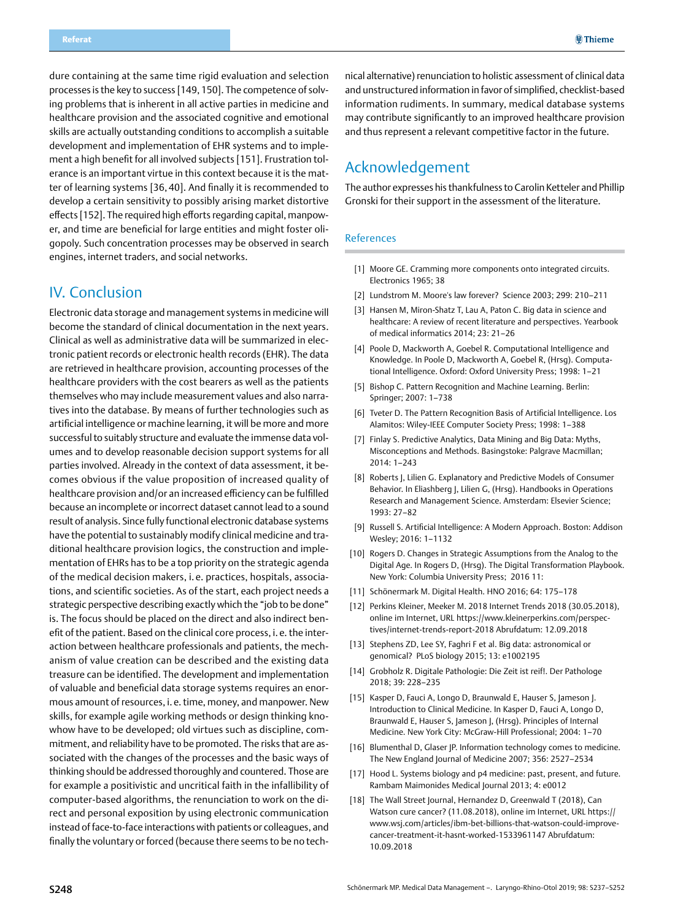<span id="page-11-0"></span>dure containing at the same time rigid evaluation and selection processes is the key to success [149, 150]. The competence of solving problems that is inherent in all active parties in medicine and healthcare provision and the associated cognitive and emotional skills are actually outstanding conditions to accomplish a suitable development and implementation of EHR systems and to implement a high benefit for all involved subjects [151]. Frustration tolerance is an important virtue in this context because it is the matter of learning systems [36, 40]. And finally it is recommended to develop a certain sensitivity to possibly arising market distortive effects [152]. The required high efforts regarding capital, manpower, and time are beneficial for large entities and might foster oligopoly. Such concentration processes may be observed in search engines, internet traders, and social networks.

## IV. Conclusion

Electronic data storage and management systems in medicine will become the standard of clinical documentation in the next years. Clinical as well as administrative data will be summarized in electronic patient records or electronic health records (EHR). The data are retrieved in healthcare provision, accounting processes of the healthcare providers with the cost bearers as well as the patients themselves who may include measurement values and also narratives into the database. By means of further technologies such as artificial intelligence or machine learning, it will be more and more successful to suitably structure and evaluate the immense data volumes and to develop reasonable decision support systems for all parties involved. Already in the context of data assessment, it becomes obvious if the value proposition of increased quality of healthcare provision and/or an increased efficiency can be fulfilled because an incomplete or incorrect dataset cannot lead to a sound result of analysis. Since fully functional electronic database systems have the potential to sustainably modify clinical medicine and traditional healthcare provision logics, the construction and implementation of EHRs has to be a top priority on the strategic agenda of the medical decision makers, i. e. practices, hospitals, associations, and scientific societies. As of the start, each project needs a strategic perspective describing exactly which the "job to be done" is. The focus should be placed on the direct and also indirect benefit of the patient. Based on the clinical core process, i. e. the interaction between healthcare professionals and patients, the mechanism of value creation can be described and the existing data treasure can be identified. The development and implementation of valuable and beneficial data storage systems requires an enormous amount of resources, i. e. time, money, and manpower. New skills, for example agile working methods or design thinking knowhow have to be developed; old virtues such as discipline, commitment, and reliability have to be promoted. The risks that are associated with the changes of the processes and the basic ways of thinking should be addressed thoroughly and countered. Those are for example a positivistic and uncritical faith in the infallibility of computer-based algorithms, the renunciation to work on the direct and personal exposition by using electronic communication instead of face-to-face interactions with patients or colleagues, and finally the voluntary or forced (because there seems to be no tech-

nical alternative) renunciation to holistic assessment of clinical data and unstructured information in favor of simplified, checklist-based information rudiments. In summary, medical database systems may contribute significantly to an improved healthcare provision and thus represent a relevant competitive factor in the future.

## Acknowledgement

The author expresses his thankfulness to Carolin Ketteler and Phillip Gronski for their support in the assessment of the literature.

### References

- [1] Moore GE. Cramming more components onto integrated circuits. Electronics 1965; 38
- [2] Lundstrom M. Moore's law forever? Science 2003; 299: 210–211
- [3] Hansen M, Miron-Shatz T, Lau A, Paton C. Big data in science and healthcare: A review of recent literature and perspectives. Yearbook of medical informatics 2014; 23: 21–26
- [4] Poole D, Mackworth A, Goebel R. Computational Intelligence and Knowledge. In Poole D, Mackworth A, Goebel R, (Hrsg). Computational Intelligence. Oxford: Oxford University Press; 1998: 1–21
- [5] Bishop C. Pattern Recognition and Machine Learning. Berlin: Springer; 2007: 1–738
- [6] Tveter D. The Pattern Recognition Basis of Artificial Intelligence. Los Alamitos: Wiley-IEEE Computer Society Press; 1998: 1–388
- [7] Finlay S. Predictive Analytics, Data Mining and Big Data: Myths, Misconceptions and Methods. Basingstoke: Palgrave Macmillan; 2014: 1–243
- [8] Roberts J, Lilien G. Explanatory and Predictive Models of Consumer Behavior. In Eliashberg J, Lilien G, (Hrsg). Handbooks in Operations Research and Management Science. Amsterdam: Elsevier Science; 1993: 27–82
- [9] Russell S. Artificial Intelligence: A Modern Approach. Boston: Addison Wesley; 2016: 1–1132
- [10] Rogers D. Changes in Strategic Assumptions from the Analog to the Digital Age. In Rogers D, (Hrsg). The Digital Transformation Playbook. New York: Columbia University Press; 2016 11:
- [11] Schönermark M. Digital Health. HNO 2016; 64: 175–178
- [12] Perkins Kleiner, Meeker M. 2018 Internet Trends 2018 (30.05.2018), online im Internet, URL [https://www.kleinerperkins.com/perspec](http://https://www.kleinerperkins.com/perspectives/internet-trends-report-2018)[tives/internet-trends-report-2018](http://https://www.kleinerperkins.com/perspectives/internet-trends-report-2018) Abrufdatum: 12.09.2018
- [13] Stephens ZD, Lee SY, Faghri F et al. Big data: astronomical or genomical? PLoS biology 2015; 13: e1002195
- [14] Grobholz R. Digitale Pathologie: Die Zeit ist reif!. Der Pathologe 2018; 39: 228–235
- [15] Kasper D, Fauci A, Longo D, Braunwald E, Hauser S, Jameson J. Introduction to Clinical Medicine. In Kasper D, Fauci A, Longo D, Braunwald E, Hauser S, Jameson J, (Hrsg). Principles of Internal Medicine. New York City: McGraw-Hill Professional; 2004: 1–70
- [16] Blumenthal D, Glaser JP. Information technology comes to medicine. The New England Journal of Medicine 2007; 356: 2527–2534
- [17] Hood L. Systems biology and p4 medicine: past, present, and future. Rambam Maimonides Medical Journal 2013; 4: e0012
- [18] The Wall Street Journal, Hernandez D, Greenwald T (2018), Can Watson cure cancer? (11.08.2018), online im Internet, URL [https://](http://https://www.wsj.com/articles/ibm-bet-billions-that-watson-could-improve-cancer-treatment-it-hasnt-worked-1533961147) [www.wsj.com/articles/ibm-bet-billions-that-watson-could-improve](http://https://www.wsj.com/articles/ibm-bet-billions-that-watson-could-improve-cancer-treatment-it-hasnt-worked-1533961147)[cancer-treatment-it-hasnt-worked-1533961147](http://https://www.wsj.com/articles/ibm-bet-billions-that-watson-could-improve-cancer-treatment-it-hasnt-worked-1533961147) Abrufdatum: 10.09.2018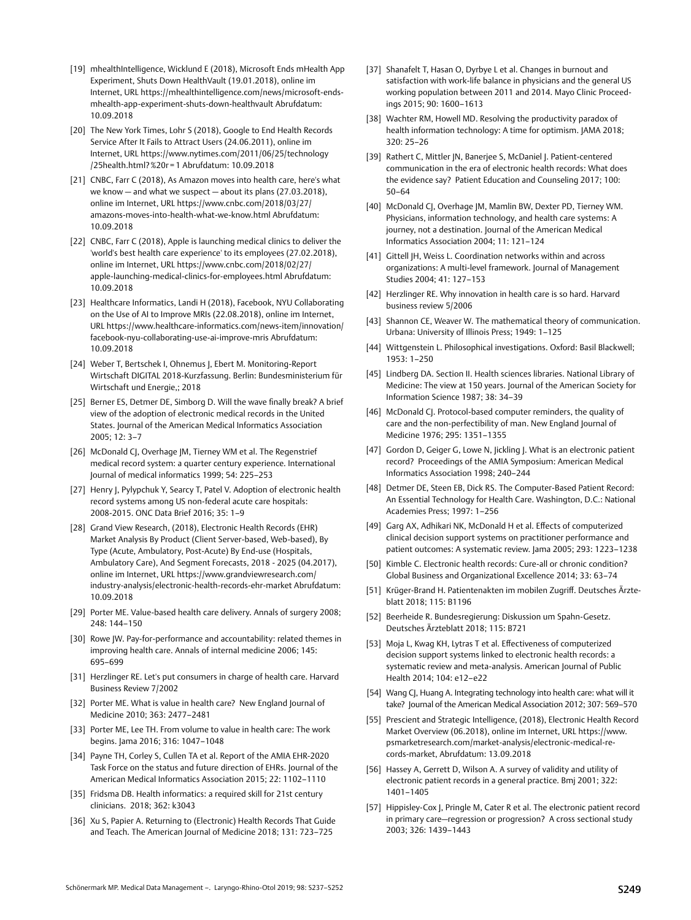- [19] mhealthIntelligence, Wicklund E (2018), Microsoft Ends mHealth App Experiment, Shuts Down HealthVault (19.01.2018), online im Internet, URL [https://mhealthintelligence.com/news/microsoft-ends](http://https://mhealthintelligence.com/news/microsoft-ends-mhealth-app-experiment-shuts-down-healthvault)[mhealth-app-experiment-shuts-down-healthvault](http://https://mhealthintelligence.com/news/microsoft-ends-mhealth-app-experiment-shuts-down-healthvault) Abrufdatum: 10.09.2018
- [20] The New York Times, Lohr S (2018), Google to End Health Records Service After It Fails to Attract Users (24.06.2011), online im Internet, URL [https://www.nytimes.com/2011/06/25/technology](http://https://www.nytimes.com/2011/06/25/technology/25health.html?%20r=1) [/25health.html?%20r](http://https://www.nytimes.com/2011/06/25/technology/25health.html?%20r=1) = 1 Abrufdatum: 10.09.2018
- [21] CNBC, Farr C (2018), As Amazon moves into health care, here's what we know — and what we suspect — about its plans (27.03.2018), online im Internet, URL [https://www.cnbc.com/2018/03/27/](http://https://www.cnbc.com/2018/03/27/amazons-moves-into-health-what-we-know.html) [amazons-moves-into-health-what-we-know.html](http://https://www.cnbc.com/2018/03/27/amazons-moves-into-health-what-we-know.html) Abrufdatum: 10.09.2018
- [22] CNBC, Farr C (2018), Apple is launching medical clinics to deliver the 'world's best health care experience' to its employees (27.02.2018), online im Internet, URL [https://www.cnbc.com/2018/02/27/](http://https://www.cnbc.com/2018/02/27/apple-launching-medical-clinics-for-employees.html) [apple-launching-medical-clinics-for-employees.html](http://https://www.cnbc.com/2018/02/27/apple-launching-medical-clinics-for-employees.html) Abrufdatum: 10.09.2018
- [23] Healthcare Informatics, Landi H (2018), Facebook, NYU Collaborating on the Use of AI to Improve MRIs (22.08.2018), online im Internet, URL [https://www.healthcare-informatics.com/news-item/innovation/](http://https://www.healthcare-informatics.com/news-item/innovation/facebook-nyu-collaborating-use-ai-improve-mris) [facebook-nyu-collaborating-use-ai-improve-mris](http://https://www.healthcare-informatics.com/news-item/innovation/facebook-nyu-collaborating-use-ai-improve-mris) Abrufdatum: 10.09.2018
- [24] Weber T, Bertschek I, Ohnemus J, Ebert M. Monitoring-Report Wirtschaft DIGITAL 2018-Kurzfassung. Berlin: Bundesministerium für Wirtschaft und Energie,; 2018
- [25] Berner ES, Detmer DE, Simborg D. Will the wave finally break? A brief view of the adoption of electronic medical records in the United States. Journal of the American Medical Informatics Association 2005; 12: 3–7
- [26] McDonald CJ, Overhage JM, Tierney WM et al. The Regenstrief medical record system: a quarter century experience. International Journal of medical informatics 1999; 54: 225–253
- [27] Henry J, Pylypchuk Y, Searcy T, Patel V. Adoption of electronic health record systems among US non-federal acute care hospitals: 2008-2015. ONC Data Brief 2016; 35: 1–9
- [28] Grand View Research, (2018), Electronic Health Records (EHR) Market Analysis By Product (Client Server-based, Web-based), By Type (Acute, Ambulatory, Post-Acute) By End-use (Hospitals, Ambulatory Care), And Segment Forecasts, 2018 - 2025 (04.2017), online im Internet, URL [https://www.grandviewresearch.com/](http://https://www.grandviewresearch.com/industry-analysis/electronic-health-records-ehr-market) [industry-analysis/electronic-health-records-ehr-market](http://https://www.grandviewresearch.com/industry-analysis/electronic-health-records-ehr-market) Abrufdatum: 10.09.2018
- [29] Porter ME. Value-based health care delivery. Annals of surgery 2008; 248: 144–150
- [30] Rowe JW. Pay-for-performance and accountability: related themes in improving health care. Annals of internal medicine 2006; 145: 695–699
- [31] Herzlinger RE. Let's put consumers in charge of health care. Harvard Business Review 7/2002
- [32] Porter ME. What is value in health care? New England Journal of Medicine 2010; 363: 2477–2481
- [33] Porter ME, Lee TH. From volume to value in health care: The work begins. Jama 2016; 316: 1047–1048
- [34] Payne TH, Corley S, Cullen TA et al. Report of the AMIA EHR-2020 Task Force on the status and future direction of EHRs. Journal of the American Medical Informatics Association 2015; 22: 1102–1110
- [35] Fridsma DB. Health informatics: a required skill for 21st century clinicians. 2018; 362: k3043
- [36] Xu S, Papier A. Returning to (Electronic) Health Records That Guide and Teach. The American Journal of Medicine 2018; 131: 723–725
- [37] Shanafelt T, Hasan O, Dyrbye L et al. Changes in burnout and satisfaction with work-life balance in physicians and the general US working population between 2011 and 2014. Mayo Clinic Proceedings 2015; 90: 1600–1613
- [38] Wachter RM, Howell MD. Resolving the productivity paradox of health information technology: A time for optimism. JAMA 2018; 320: 25–26
- [39] Rathert C, Mittler JN, Banerjee S, McDaniel J. Patient-centered communication in the era of electronic health records: What does the evidence say? Patient Education and Counseling 2017; 100: 50–64
- [40] McDonald CJ, Overhage JM, Mamlin BW, Dexter PD, Tierney WM. Physicians, information technology, and health care systems: A journey, not a destination. Journal of the American Medical Informatics Association 2004; 11: 121–124
- [41] Gittell JH, Weiss L. Coordination networks within and across organizations: A multi-level framework. Journal of Management Studies 2004; 41: 127–153
- [42] Herzlinger RE. Why innovation in health care is so hard. Harvard business review 5/2006
- [43] Shannon CE, Weaver W. The mathematical theory of communication. Urbana: University of Illinois Press; 1949: 1–125
- [44] Wittgenstein L. Philosophical investigations. Oxford: Basil Blackwell; 1953: 1–250
- [45] Lindberg DA. Section II. Health sciences libraries. National Library of Medicine: The view at 150 years. Journal of the American Society for Information Science 1987; 38: 34–39
- [46] McDonald CJ. Protocol-based computer reminders, the quality of care and the non-perfectibility of man. New England Journal of Medicine 1976; 295: 1351–1355
- [47] Gordon D, Geiger G, Lowe N, Jickling J. What is an electronic patient record? Proceedings of the AMIA Symposium: American Medical Informatics Association 1998; 240–244
- [48] Detmer DE, Steen EB, Dick RS. The Computer-Based Patient Record: An Essential Technology for Health Care. Washington, D.C.: National Academies Press; 1997: 1–256
- [49] Garg AX, Adhikari NK, McDonald H et al. Effects of computerized clinical decision support systems on practitioner performance and patient outcomes: A systematic review. Jama 2005; 293: 1223–1238
- [50] Kimble C. Electronic health records: Cure-all or chronic condition? Global Business and Organizational Excellence 2014; 33: 63–74
- [51] Krüger-Brand H. Patientenakten im mobilen Zugriff. Deutsches Ärzteblatt 2018; 115: B1196
- [52] Beerheide R. Bundesregierung: Diskussion um Spahn-Gesetz. Deutsches Ärzteblatt 2018; 115: B721
- [53] Moja L, Kwag KH, Lytras T et al. Effectiveness of computerized decision support systems linked to electronic health records: a systematic review and meta-analysis. American Journal of Public Health 2014; 104: e12–e22
- [54] Wang CJ, Huang A. Integrating technology into health care: what will it take? Journal of the American Medical Association 2012; 307: 569–570
- [55] Prescient and Strategic Intelligence, (2018), Electronic Health Record Market Overview (06.2018), online im Internet, URL [https://www.](http://https://www.psmarketresearch.com/market-analysis/electronic-medical-records-market, Abrufdatum: 13.09.2018) [psmarketresearch.com/market-analysis/electronic-medical-re](http://https://www.psmarketresearch.com/market-analysis/electronic-medical-records-market, Abrufdatum: 13.09.2018)[cords-market, Abrufdatum: 13.09.2018](http://https://www.psmarketresearch.com/market-analysis/electronic-medical-records-market, Abrufdatum: 13.09.2018)
- [56] Hassey A, Gerrett D, Wilson A. A survey of validity and utility of electronic patient records in a general practice. Bmj 2001; 322: 1401–1405
- [57] Hippisley-Cox J, Pringle M, Cater R et al. The electronic patient record in primary care—regression or progression? A cross sectional study 2003; 326: 1439–1443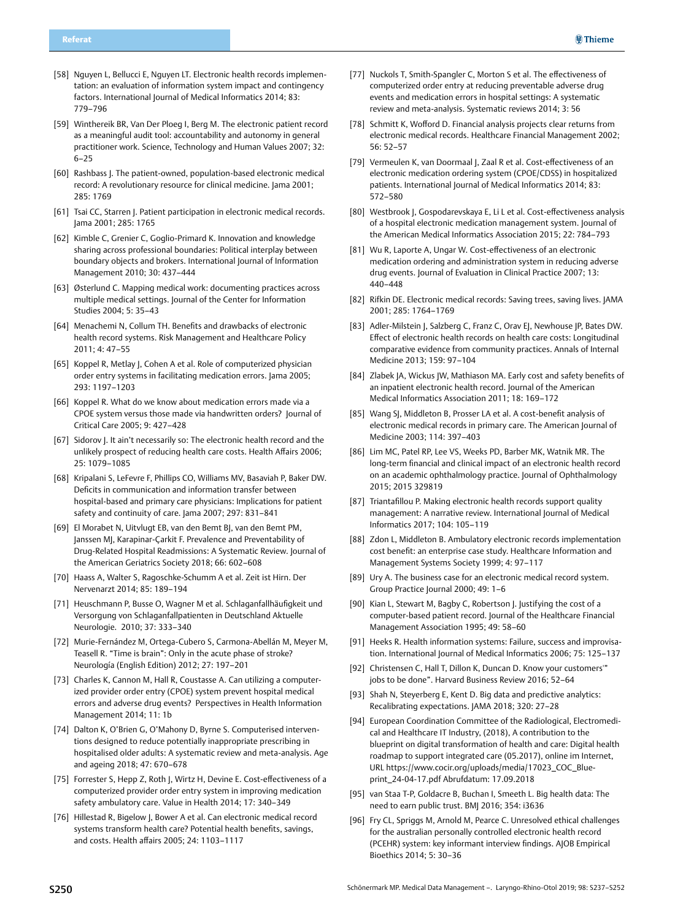- [58] Nguyen L, Bellucci E, Nguyen LT. Electronic health records implementation: an evaluation of information system impact and contingency factors. International Journal of Medical Informatics 2014; 83: 779–796
- [59] Winthereik BR, Van Der Ploeg I, Berg M. The electronic patient record as a meaningful audit tool: accountability and autonomy in general practitioner work. Science, Technology and Human Values 2007; 32: 6–25
- [60] Rashbass J. The patient-owned, population-based electronic medical record: A revolutionary resource for clinical medicine. Jama 2001; 285: 1769
- [61] Tsai CC, Starren J. Patient participation in electronic medical records. Jama 2001; 285: 1765
- [62] Kimble C, Grenier C, Goglio-Primard K. Innovation and knowledge sharing across professional boundaries: Political interplay between boundary objects and brokers. International Journal of Information Management 2010; 30: 437–444
- [63] Østerlund C. Mapping medical work: documenting practices across multiple medical settings. Journal of the Center for Information Studies 2004; 5: 35–43
- [64] Menachemi N, Collum TH. Benefits and drawbacks of electronic health record systems. Risk Management and Healthcare Policy 2011; 4: 47–55
- [65] Koppel R, Metlay J, Cohen A et al. Role of computerized physician order entry systems in facilitating medication errors. Jama 2005; 293: 1197–1203
- [66] Koppel R. What do we know about medication errors made via a CPOE system versus those made via handwritten orders? Journal of Critical Care 2005; 9: 427–428
- [67] Sidorov J. It ain't necessarily so: The electronic health record and the unlikely prospect of reducing health care costs. Health Affairs 2006; 25: 1079–1085
- [68] Kripalani S, LeFevre F, Phillips CO, Williams MV, Basaviah P, Baker DW. Deficits in communication and information transfer between hospital-based and primary care physicians: Implications for patient safety and continuity of care. Jama 2007; 297: 831–841
- [69] El Morabet N, Uitvlugt EB, van den Bemt BJ, van den Bemt PM, Janssen MJ, Karapinar-Çarkit F. Prevalence and Preventability of Drug-Related Hospital Readmissions: A Systematic Review. Journal of the American Geriatrics Society 2018; 66: 602–608
- [70] Haass A, Walter S, Ragoschke-Schumm A et al. Zeit ist Hirn. Der Nervenarzt 2014; 85: 189–194
- [71] Heuschmann P, Busse O, Wagner M et al. Schlaganfallhäufigkeit und Versorgung von Schlaganfallpatienten in Deutschland Aktuelle Neurologie. 2010; 37: 333–340
- [72] Murie-Fernández M, Ortega-Cubero S, Carmona-Abellán M, Meyer M, Teasell R. "Time is brain": Only in the acute phase of stroke? Neurología (English Edition) 2012; 27: 197–201
- [73] Charles K, Cannon M, Hall R, Coustasse A. Can utilizing a computerized provider order entry (CPOE) system prevent hospital medical errors and adverse drug events? Perspectives in Health Information Management 2014; 11: 1b
- [74] Dalton K, O'Brien G, O'Mahony D, Byrne S. Computerised interventions designed to reduce potentially inappropriate prescribing in hospitalised older adults: A systematic review and meta-analysis. Age and ageing 2018; 47: 670–678
- [75] Forrester S, Hepp Z, Roth J, Wirtz H, Devine E. Cost-effectiveness of a computerized provider order entry system in improving medication safety ambulatory care. Value in Health 2014; 17: 340–349
- [76] Hillestad R, Bigelow J, Bower A et al. Can electronic medical record systems transform health care? Potential health benefits, savings, and costs. Health affairs 2005; 24: 1103–1117
- [77] Nuckols T, Smith-Spangler C, Morton S et al. The effectiveness of computerized order entry at reducing preventable adverse drug events and medication errors in hospital settings: A systematic review and meta-analysis. Systematic reviews 2014; 3: 56
- [78] Schmitt K, Wofford D. Financial analysis projects clear returns from electronic medical records. Healthcare Financial Management 2002; 56: 52–57
- [79] Vermeulen K, van Doormaal J, Zaal R et al. Cost-effectiveness of an electronic medication ordering system (CPOE/CDSS) in hospitalized patients. International Journal of Medical Informatics 2014; 83: 572–580
- [80] Westbrook J, Gospodarevskaya E, Li L et al. Cost-effectiveness analysis of a hospital electronic medication management system. Journal of the American Medical Informatics Association 2015; 22: 784–793
- [81] Wu R, Laporte A, Ungar W. Cost-effectiveness of an electronic medication ordering and administration system in reducing adverse drug events. Journal of Evaluation in Clinical Practice 2007; 13: 440–448
- [82] Rifkin DE. Electronic medical records: Saving trees, saving lives. JAMA 2001; 285: 1764–1769
- [83] Adler-Milstein J, Salzberg C, Franz C, Orav EJ, Newhouse JP, Bates DW. Effect of electronic health records on health care costs: Longitudinal comparative evidence from community practices. Annals of Internal Medicine 2013; 159: 97–104
- [84] Zlabek JA, Wickus JW, Mathiason MA. Early cost and safety benefits of an inpatient electronic health record. Journal of the American Medical Informatics Association 2011; 18: 169–172
- [85] Wang SJ, Middleton B, Prosser LA et al. A cost-benefit analysis of electronic medical records in primary care. The American Journal of Medicine 2003; 114: 397–403
- [86] Lim MC, Patel RP, Lee VS, Weeks PD, Barber MK, Watnik MR. The long-term financial and clinical impact of an electronic health record on an academic ophthalmology practice. Journal of Ophthalmology 2015; 2015 329819
- [87] Triantafillou P. Making electronic health records support quality management: A narrative review. International Journal of Medical Informatics 2017; 104: 105–119
- [88] Zdon L, Middleton B. Ambulatory electronic records implementation cost benefit: an enterprise case study. Healthcare Information and Management Systems Society 1999; 4: 97–117
- [89] Ury A. The business case for an electronic medical record system. Group Practice Journal 2000; 49: 1–6
- [90] Kian L, Stewart M, Bagby C, Robertson J. Justifying the cost of a computer-based patient record. Journal of the Healthcare Financial Management Association 1995; 49: 58–60
- [91] Heeks R. Health information systems: Failure, success and improvisation. International Journal of Medical Informatics 2006; 75: 125–137
- [92] Christensen C, Hall T, Dillon K, Duncan D. Know your customers'" jobs to be done". Harvard Business Review 2016; 52–64
- [93] Shah N, Steyerberg E, Kent D. Big data and predictive analytics: Recalibrating expectations. JAMA 2018; 320: 27–28
- [94] European Coordination Committee of the Radiological, Electromedical and Healthcare IT Industry, (2018), A contribution to the blueprint on digital transformation of health and care: Digital health roadmap to support integrated care (05.2017), online im Internet, URL [https://www.cocir.org/uploads/media/17023\\_COC\\_Blue](http://https://www.cocir.org/uploads/media/17023_COC_Blueprint_24-04-17.pdf)[print\\_24-04-17.pdf](http://https://www.cocir.org/uploads/media/17023_COC_Blueprint_24-04-17.pdf) Abrufdatum: 17.09.2018
- [95] van Staa T-P, Goldacre B, Buchan I, Smeeth L. Big health data: The need to earn public trust. BMJ 2016; 354: i3636
- [96] Fry CL, Spriggs M, Arnold M, Pearce C. Unresolved ethical challenges for the australian personally controlled electronic health record (PCEHR) system: key informant interview findings. AJOB Empirical Bioethics 2014; 5: 30–36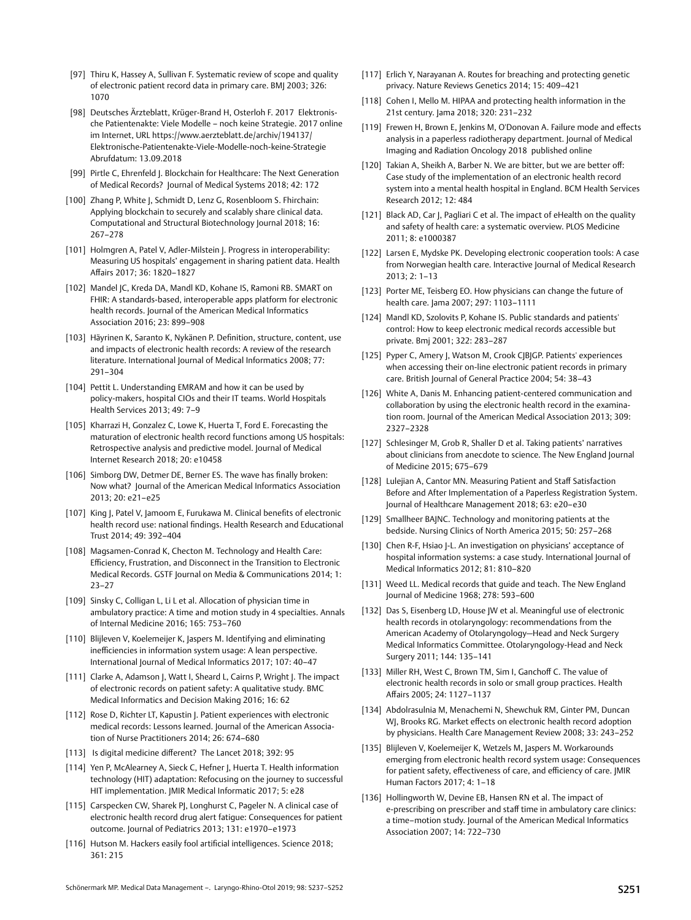- [97] Thiru K, Hassey A, Sullivan F. Systematic review of scope and quality of electronic patient record data in primary care. BMJ 2003; 326: 1070
- [98] Deutsches Ärzteblatt, Krüger-Brand H, Osterloh F. 2017 Elektronische Patientenakte: Viele Modelle – noch keine Strategie. 2017 online im Internet, URL [https://www.aerzteblatt.de/archiv/194137/](http://https://www.aerzteblatt.de/archiv/194137/Elektronische-Patientenakte-Viele-Modelle-noch-keine-Strategie) [Elektronische-Patientenakte-Viele-Modelle-noch-keine-Strategie](http://https://www.aerzteblatt.de/archiv/194137/Elektronische-Patientenakte-Viele-Modelle-noch-keine-Strategie) Abrufdatum: 13.09.2018
- [99] Pirtle C, Ehrenfeld J. Blockchain for Healthcare: The Next Generation of Medical Records? Journal of Medical Systems 2018; 42: 172
- [100] Zhang P, White J, Schmidt D, Lenz G, Rosenbloom S. Fhirchain: Applying blockchain to securely and scalably share clinical data. Computational and Structural Biotechnology Journal 2018; 16: 267–278
- [101] Holmgren A, Patel V, Adler-Milstein J. Progress in interoperability: Measuring US hospitals' engagement in sharing patient data. Health Affairs 2017; 36: 1820–1827
- [102] Mandel JC, Kreda DA, Mandl KD, Kohane IS, Ramoni RB. SMART on FHIR: A standards-based, interoperable apps platform for electronic health records. Journal of the American Medical Informatics Association 2016; 23: 899–908
- [103] Häyrinen K, Saranto K, Nykänen P. Definition, structure, content, use and impacts of electronic health records: A review of the research literature. International Journal of Medical Informatics 2008; 77: 291–304
- [104] Pettit L. Understanding EMRAM and how it can be used by policy-makers, hospital CIOs and their IT teams. World Hospitals Health Services 2013; 49: 7–9
- [105] Kharrazi H, Gonzalez C, Lowe K, Huerta T, Ford E. Forecasting the maturation of electronic health record functions among US hospitals: Retrospective analysis and predictive model. Journal of Medical Internet Research 2018; 20: e10458
- [106] Simborg DW, Detmer DE, Berner ES. The wave has finally broken: Now what? Journal of the American Medical Informatics Association 2013; 20: e21–e25
- [107] King J, Patel V, Jamoom E, Furukawa M. Clinical benefits of electronic health record use: national findings. Health Research and Educational Trust 2014; 49: 392–404
- [108] Magsamen-Conrad K, Checton M. Technology and Health Care: Efficiency, Frustration, and Disconnect in the Transition to Electronic Medical Records. GSTF Journal on Media & Communications 2014; 1: 23–27
- [109] Sinsky C, Colligan L, Li L et al. Allocation of physician time in ambulatory practice: A time and motion study in 4 specialties. Annals of Internal Medicine 2016; 165: 753–760
- [110] Blijleven V, Koelemeijer K, Jaspers M. Identifying and eliminating inefficiencies in information system usage: A lean perspective. International Journal of Medical Informatics 2017; 107: 40–47
- [111] Clarke A, Adamson J, Watt I, Sheard L, Cairns P, Wright J. The impact of electronic records on patient safety: A qualitative study. BMC Medical Informatics and Decision Making 2016; 16: 62
- [112] Rose D, Richter LT, Kapustin J. Patient experiences with electronic medical records: Lessons learned. Journal of the American Association of Nurse Practitioners 2014; 26: 674–680
- [113] Is digital medicine different? The Lancet 2018; 392: 95
- [114] Yen P, McAlearney A, Sieck C, Hefner J, Huerta T. Health information technology (HIT) adaptation: Refocusing on the journey to successful HIT implementation. JMIR Medical Informatic 2017; 5: e28
- [115] Carspecken CW, Sharek PJ, Longhurst C, Pageler N. A clinical case of electronic health record drug alert fatigue: Consequences for patient outcome. Journal of Pediatrics 2013; 131: e1970–e1973
- [116] Hutson M. Hackers easily fool artificial intelligences. Science 2018; 361: 215
- [117] Erlich Y, Narayanan A. Routes for breaching and protecting genetic privacy. Nature Reviews Genetics 2014; 15: 409–421
- [118] Cohen I, Mello M. HIPAA and protecting health information in the 21st century. Jama 2018; 320: 231–232
- [119] Frewen H, Brown E, Jenkins M, O'Donovan A. Failure mode and effects analysis in a paperless radiotherapy department. Journal of Medical Imaging and Radiation Oncology 2018 published online
- [120] Takian A, Sheikh A, Barber N. We are bitter, but we are better off: Case study of the implementation of an electronic health record system into a mental health hospital in England. BCM Health Services Research 2012; 12: 484
- [121] Black AD, Car J, Pagliari C et al. The impact of eHealth on the quality and safety of health care: a systematic overview. PLOS Medicine 2011; 8: e1000387
- [122] Larsen E, Mydske PK. Developing electronic cooperation tools: A case from Norwegian health care. Interactive Journal of Medical Research 2013; 2: 1–13
- [123] Porter ME, Teisberg EO. How physicians can change the future of health care. Jama 2007; 297: 1103–1111
- [124] Mandl KD, Szolovits P, Kohane IS. Public standards and patients' control: How to keep electronic medical records accessible but private. Bmj 2001; 322: 283–287
- [125] Pyper C, Amery J, Watson M, Crook CJBJGP. Patients' experiences when accessing their on-line electronic patient records in primary care. British Journal of General Practice 2004; 54: 38–43
- [126] White A, Danis M. Enhancing patient-centered communication and collaboration by using the electronic health record in the examination room. Journal of the American Medical Association 2013; 309: 2327–2328
- [127] Schlesinger M, Grob R, Shaller D et al. Taking patients' narratives about clinicians from anecdote to science. The New England Journal of Medicine 2015; 675–679
- [128] Lulejian A, Cantor MN. Measuring Patient and Staff Satisfaction Before and After Implementation of a Paperless Registration System. Journal of Healthcare Management 2018; 63: e20–e30
- [129] Smallheer BAINC. Technology and monitoring patients at the bedside. Nursing Clinics of North America 2015; 50: 257–268
- [130] Chen R-F, Hsiao J-L. An investigation on physicians' acceptance of hospital information systems: a case study. International Journal of Medical Informatics 2012; 81: 810–820
- [131] Weed LL. Medical records that guide and teach. The New England Journal of Medicine 1968; 278: 593–600
- [132] Das S, Eisenberg LD, House JW et al. Meaningful use of electronic health records in otolaryngology: recommendations from the American Academy of Otolaryngology—Head and Neck Surgery Medical Informatics Committee. Otolaryngology-Head and Neck Surgery 2011; 144: 135–141
- [133] Miller RH, West C, Brown TM, Sim I, Ganchoff C. The value of electronic health records in solo or small group practices. Health Affairs 2005; 24: 1127–1137
- [134] Abdolrasulnia M, Menachemi N, Shewchuk RM, Ginter PM, Duncan WJ, Brooks RG. Market effects on electronic health record adoption by physicians. Health Care Management Review 2008; 33: 243–252
- [135] Blijleven V, Koelemeijer K, Wetzels M, Jaspers M. Workarounds emerging from electronic health record system usage: Consequences for patient safety, effectiveness of care, and efficiency of care. JMIR Human Factors 2017; 4: 1–18
- [136] Hollingworth W, Devine EB, Hansen RN et al. The impact of e-prescribing on prescriber and staff time in ambulatory care clinics: a time–motion study. Journal of the American Medical Informatics Association 2007; 14: 722–730